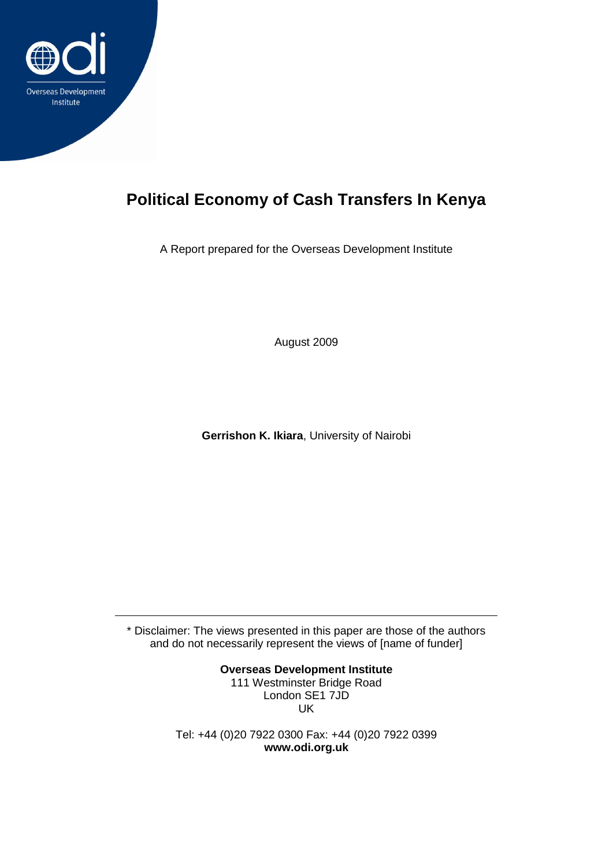

# **Political Economy of Cash Transfers In Kenya**

A Report prepared for the Overseas Development Institute

August 2009

**Gerrishon K. Ikiara**, University of Nairobi

\* Disclaimer: The views presented in this paper are those of the authors and do not necessarily represent the views of [name of funder]

> **Overseas Development Institute** 111 Westminster Bridge Road London SE1 7JD UK

Tel: +44 (0)20 7922 0300 Fax: +44 (0)20 7922 0399 **www.odi.org.uk**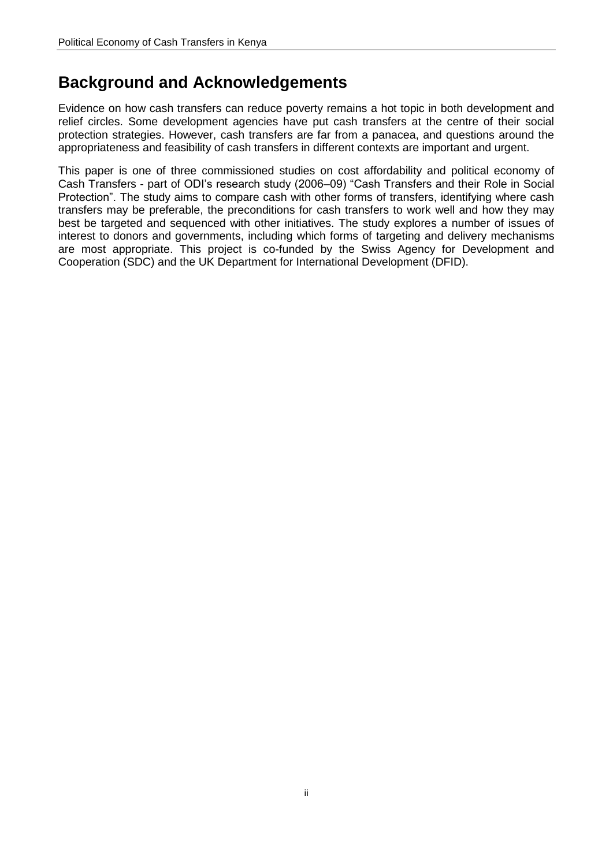## **Background and Acknowledgements**

Evidence on how cash transfers can reduce poverty remains a hot topic in both development and relief circles. Some development agencies have put cash transfers at the centre of their social protection strategies. However, cash transfers are far from a panacea, and questions around the appropriateness and feasibility of cash transfers in different contexts are important and urgent.

This paper is one of three commissioned studies on cost affordability and political economy of Cash Transfers - part of ODI"s research study (2006–09) "Cash Transfers and their Role in Social Protection". The study aims to compare cash with other forms of transfers, identifying where cash transfers may be preferable, the preconditions for cash transfers to work well and how they may best be targeted and sequenced with other initiatives. The study explores a number of issues of interest to donors and governments, including which forms of targeting and delivery mechanisms are most appropriate. This project is co-funded by the Swiss Agency for Development and Cooperation (SDC) and the UK Department for International Development (DFID).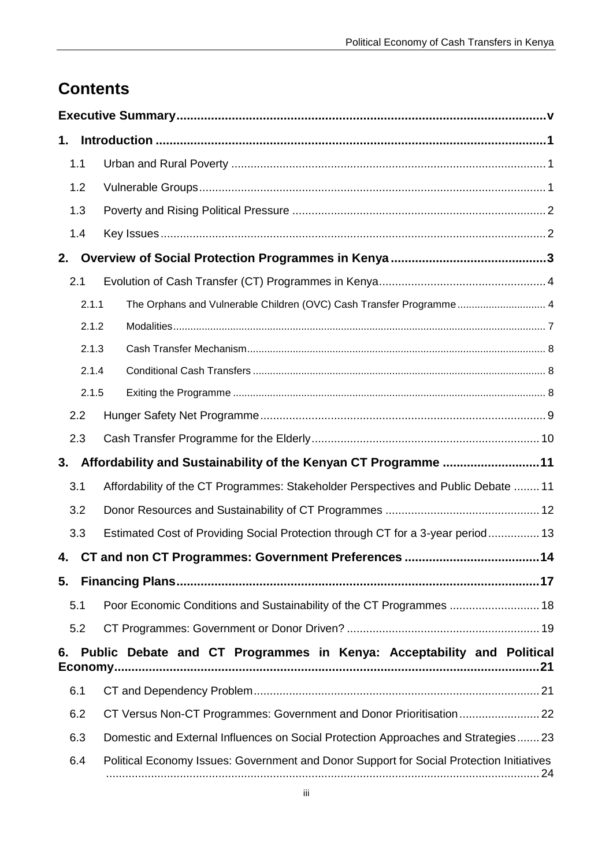# **Contents**

| 1.  |       |                                                                                          |
|-----|-------|------------------------------------------------------------------------------------------|
| 1.1 |       |                                                                                          |
| 1.2 |       |                                                                                          |
| 1.3 |       |                                                                                          |
| 1.4 |       |                                                                                          |
| 2.  |       |                                                                                          |
| 2.1 |       |                                                                                          |
|     | 2.1.1 | The Orphans and Vulnerable Children (OVC) Cash Transfer Programme 4                      |
|     | 2.1.2 |                                                                                          |
|     | 2.1.3 |                                                                                          |
|     | 2.1.4 |                                                                                          |
|     | 2.1.5 |                                                                                          |
| 2.2 |       |                                                                                          |
| 2.3 |       |                                                                                          |
| 3.  |       | Affordability and Sustainability of the Kenyan CT Programme 11                           |
| 3.1 |       | Affordability of the CT Programmes: Stakeholder Perspectives and Public Debate  11       |
| 3.2 |       |                                                                                          |
| 3.3 |       | Estimated Cost of Providing Social Protection through CT for a 3-year period 13          |
| 4.  |       |                                                                                          |
|     |       |                                                                                          |
| 5.1 |       | Poor Economic Conditions and Sustainability of the CT Programmes  18                     |
| 5.2 |       |                                                                                          |
| 6.  |       | Public Debate and CT Programmes in Kenya: Acceptability and Political                    |
| 6.1 |       |                                                                                          |
| 6.2 |       | CT Versus Non-CT Programmes: Government and Donor Prioritisation 22                      |
| 6.3 |       | Domestic and External Influences on Social Protection Approaches and Strategies23        |
| 6.4 |       | Political Economy Issues: Government and Donor Support for Social Protection Initiatives |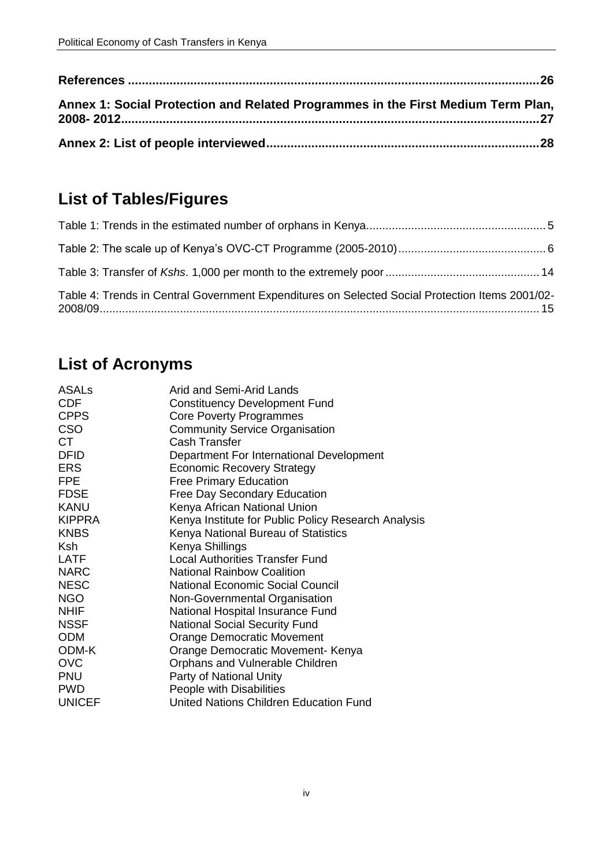| Annex 1: Social Protection and Related Programmes in the First Medium Term Plan, |  |
|----------------------------------------------------------------------------------|--|
|                                                                                  |  |

# **List of Tables/Figures**

| Table 4: Trends in Central Government Expenditures on Selected Social Protection Items 2001/02- |  |
|-------------------------------------------------------------------------------------------------|--|

# **List of Acronyms**

| Arid and Semi-Arid Lands                            |
|-----------------------------------------------------|
| <b>Constituency Development Fund</b>                |
| <b>Core Poverty Programmes</b>                      |
| <b>Community Service Organisation</b>               |
| <b>Cash Transfer</b>                                |
| Department For International Development            |
| <b>Economic Recovery Strategy</b>                   |
| <b>Free Primary Education</b>                       |
| <b>Free Day Secondary Education</b>                 |
| Kenya African National Union                        |
| Kenya Institute for Public Policy Research Analysis |
| Kenya National Bureau of Statistics                 |
| Kenya Shillings                                     |
| <b>Local Authorities Transfer Fund</b>              |
| <b>National Rainbow Coalition</b>                   |
| <b>National Economic Social Council</b>             |
| Non-Governmental Organisation                       |
| National Hospital Insurance Fund                    |
| <b>National Social Security Fund</b>                |
| Orange Democratic Movement                          |
| Orange Democratic Movement- Kenya                   |
| Orphans and Vulnerable Children                     |
| Party of National Unity                             |
| People with Disabilities                            |
| United Nations Children Education Fund              |
|                                                     |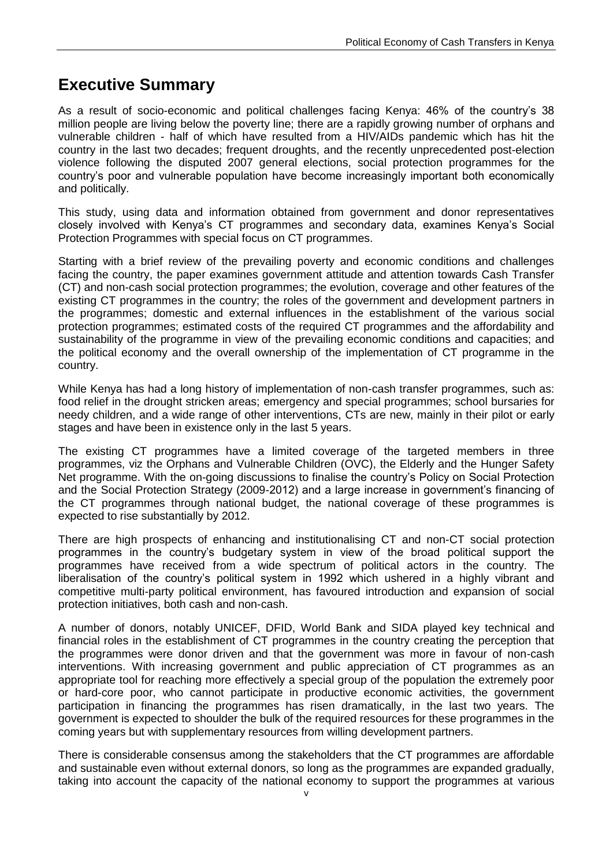## <span id="page-4-0"></span>**Executive Summary**

As a result of socio-economic and political challenges facing Kenya: 46% of the country"s 38 million people are living below the poverty line; there are a rapidly growing number of orphans and vulnerable children - half of which have resulted from a HIV/AIDs pandemic which has hit the country in the last two decades; frequent droughts, and the recently unprecedented post-election violence following the disputed 2007 general elections, social protection programmes for the country"s poor and vulnerable population have become increasingly important both economically and politically.

This study, using data and information obtained from government and donor representatives closely involved with Kenya"s CT programmes and secondary data, examines Kenya"s Social Protection Programmes with special focus on CT programmes.

Starting with a brief review of the prevailing poverty and economic conditions and challenges facing the country, the paper examines government attitude and attention towards Cash Transfer (CT) and non-cash social protection programmes; the evolution, coverage and other features of the existing CT programmes in the country; the roles of the government and development partners in the programmes; domestic and external influences in the establishment of the various social protection programmes; estimated costs of the required CT programmes and the affordability and sustainability of the programme in view of the prevailing economic conditions and capacities; and the political economy and the overall ownership of the implementation of CT programme in the country.

While Kenya has had a long history of implementation of non-cash transfer programmes, such as: food relief in the drought stricken areas; emergency and special programmes; school bursaries for needy children, and a wide range of other interventions, CTs are new, mainly in their pilot or early stages and have been in existence only in the last 5 years.

The existing CT programmes have a limited coverage of the targeted members in three programmes, viz the Orphans and Vulnerable Children (OVC), the Elderly and the Hunger Safety Net programme. With the on-going discussions to finalise the country"s Policy on Social Protection and the Social Protection Strategy (2009-2012) and a large increase in government"s financing of the CT programmes through national budget, the national coverage of these programmes is expected to rise substantially by 2012.

There are high prospects of enhancing and institutionalising CT and non-CT social protection programmes in the country"s budgetary system in view of the broad political support the programmes have received from a wide spectrum of political actors in the country. The liberalisation of the country's political system in 1992 which ushered in a highly vibrant and competitive multi-party political environment, has favoured introduction and expansion of social protection initiatives, both cash and non-cash.

A number of donors, notably UNICEF, DFID, World Bank and SIDA played key technical and financial roles in the establishment of CT programmes in the country creating the perception that the programmes were donor driven and that the government was more in favour of non-cash interventions. With increasing government and public appreciation of CT programmes as an appropriate tool for reaching more effectively a special group of the population the extremely poor or hard-core poor, who cannot participate in productive economic activities, the government participation in financing the programmes has risen dramatically, in the last two years. The government is expected to shoulder the bulk of the required resources for these programmes in the coming years but with supplementary resources from willing development partners.

There is considerable consensus among the stakeholders that the CT programmes are affordable and sustainable even without external donors, so long as the programmes are expanded gradually, taking into account the capacity of the national economy to support the programmes at various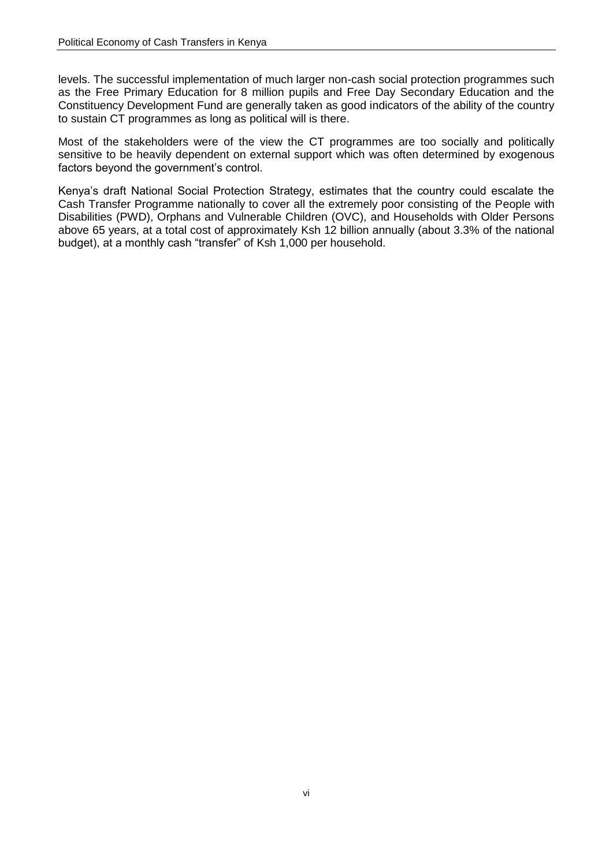levels. The successful implementation of much larger non-cash social protection programmes such as the Free Primary Education for 8 million pupils and Free Day Secondary Education and the Constituency Development Fund are generally taken as good indicators of the ability of the country to sustain CT programmes as long as political will is there.

Most of the stakeholders were of the view the CT programmes are too socially and politically sensitive to be heavily dependent on external support which was often determined by exogenous factors beyond the government's control.

Kenya"s draft National Social Protection Strategy, estimates that the country could escalate the Cash Transfer Programme nationally to cover all the extremely poor consisting of the People with Disabilities (PWD), Orphans and Vulnerable Children (OVC), and Households with Older Persons above 65 years, at a total cost of approximately Ksh 12 billion annually (about 3.3% of the national budget), at a monthly cash "transfer" of Ksh 1,000 per household.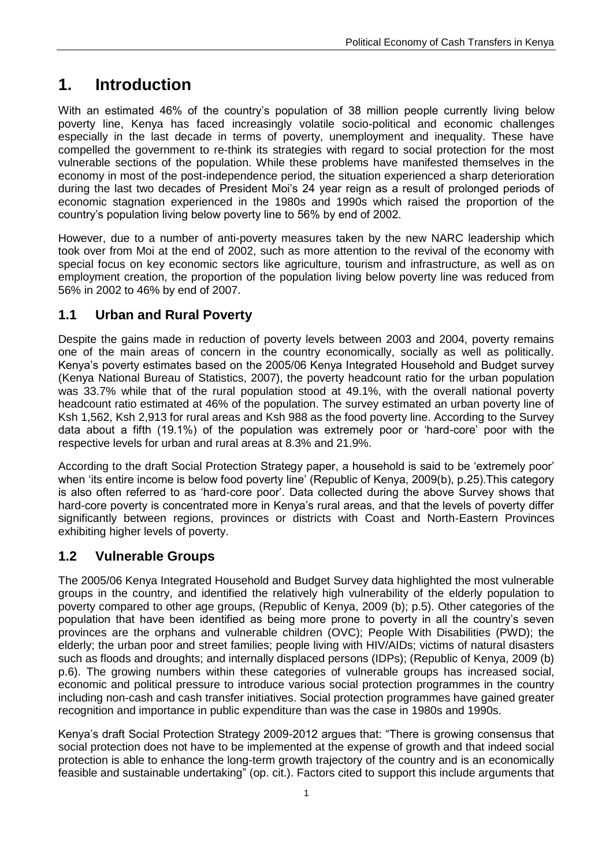## <span id="page-6-0"></span>**1. Introduction**

With an estimated 46% of the country's population of 38 million people currently living below poverty line, Kenya has faced increasingly volatile socio-political and economic challenges especially in the last decade in terms of poverty, unemployment and inequality. These have compelled the government to re-think its strategies with regard to social protection for the most vulnerable sections of the population. While these problems have manifested themselves in the economy in most of the post-independence period, the situation experienced a sharp deterioration during the last two decades of President Moi"s 24 year reign as a result of prolonged periods of economic stagnation experienced in the 1980s and 1990s which raised the proportion of the country"s population living below poverty line to 56% by end of 2002.

However, due to a number of anti-poverty measures taken by the new NARC leadership which took over from Moi at the end of 2002, such as more attention to the revival of the economy with special focus on key economic sectors like agriculture, tourism and infrastructure, as well as on employment creation, the proportion of the population living below poverty line was reduced from 56% in 2002 to 46% by end of 2007.

## <span id="page-6-1"></span>**1.1 Urban and Rural Poverty**

Despite the gains made in reduction of poverty levels between 2003 and 2004, poverty remains one of the main areas of concern in the country economically, socially as well as politically. Kenya"s poverty estimates based on the 2005/06 Kenya Integrated Household and Budget survey (Kenya National Bureau of Statistics, 2007), the poverty headcount ratio for the urban population was 33.7% while that of the rural population stood at 49.1%, with the overall national poverty headcount ratio estimated at 46% of the population. The survey estimated an urban poverty line of Ksh 1,562, Ksh 2,913 for rural areas and Ksh 988 as the food poverty line. According to the Survey data about a fifth (19.1%) of the population was extremely poor or "hard-core" poor with the respective levels for urban and rural areas at 8.3% and 21.9%.

According to the draft Social Protection Strategy paper, a household is said to be "extremely poor" when 'its entire income is below food poverty line' (Republic of Kenya, 2009(b), p.25). This category is also often referred to as "hard-core poor". Data collected during the above Survey shows that hard-core poverty is concentrated more in Kenya's rural areas, and that the levels of poverty differ significantly between regions, provinces or districts with Coast and North-Eastern Provinces exhibiting higher levels of poverty.

## <span id="page-6-2"></span>**1.2 Vulnerable Groups**

The 2005/06 Kenya Integrated Household and Budget Survey data highlighted the most vulnerable groups in the country, and identified the relatively high vulnerability of the elderly population to poverty compared to other age groups, (Republic of Kenya, 2009 (b); p.5). Other categories of the population that have been identified as being more prone to poverty in all the country"s seven provinces are the orphans and vulnerable children (OVC); People With Disabilities (PWD); the elderly; the urban poor and street families; people living with HIV/AIDs; victims of natural disasters such as floods and droughts; and internally displaced persons (IDPs); (Republic of Kenya, 2009 (b) p.6). The growing numbers within these categories of vulnerable groups has increased social, economic and political pressure to introduce various social protection programmes in the country including non-cash and cash transfer initiatives. Social protection programmes have gained greater recognition and importance in public expenditure than was the case in 1980s and 1990s.

Kenya"s draft Social Protection Strategy 2009-2012 argues that: "There is growing consensus that social protection does not have to be implemented at the expense of growth and that indeed social protection is able to enhance the long-term growth trajectory of the country and is an economically feasible and sustainable undertaking" (op. cit.). Factors cited to support this include arguments that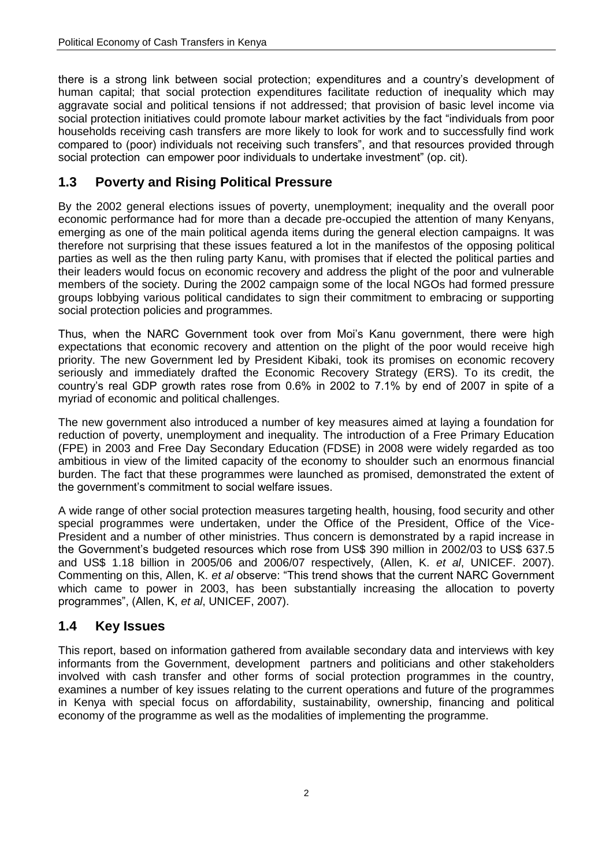there is a strong link between social protection; expenditures and a country"s development of human capital; that social protection expenditures facilitate reduction of inequality which may aggravate social and political tensions if not addressed; that provision of basic level income via social protection initiatives could promote labour market activities by the fact "individuals from poor households receiving cash transfers are more likely to look for work and to successfully find work compared to (poor) individuals not receiving such transfers", and that resources provided through social protection can empower poor individuals to undertake investment" (op. cit).

## <span id="page-7-0"></span>**1.3 Poverty and Rising Political Pressure**

By the 2002 general elections issues of poverty, unemployment; inequality and the overall poor economic performance had for more than a decade pre-occupied the attention of many Kenyans, emerging as one of the main political agenda items during the general election campaigns. It was therefore not surprising that these issues featured a lot in the manifestos of the opposing political parties as well as the then ruling party Kanu, with promises that if elected the political parties and their leaders would focus on economic recovery and address the plight of the poor and vulnerable members of the society. During the 2002 campaign some of the local NGOs had formed pressure groups lobbying various political candidates to sign their commitment to embracing or supporting social protection policies and programmes.

Thus, when the NARC Government took over from Moi"s Kanu government, there were high expectations that economic recovery and attention on the plight of the poor would receive high priority. The new Government led by President Kibaki, took its promises on economic recovery seriously and immediately drafted the Economic Recovery Strategy (ERS). To its credit, the country"s real GDP growth rates rose from 0.6% in 2002 to 7.1% by end of 2007 in spite of a myriad of economic and political challenges.

The new government also introduced a number of key measures aimed at laying a foundation for reduction of poverty, unemployment and inequality. The introduction of a Free Primary Education (FPE) in 2003 and Free Day Secondary Education (FDSE) in 2008 were widely regarded as too ambitious in view of the limited capacity of the economy to shoulder such an enormous financial burden. The fact that these programmes were launched as promised, demonstrated the extent of the government"s commitment to social welfare issues.

A wide range of other social protection measures targeting health, housing, food security and other special programmes were undertaken, under the Office of the President, Office of the Vice-President and a number of other ministries. Thus concern is demonstrated by a rapid increase in the Government"s budgeted resources which rose from US\$ 390 million in 2002/03 to US\$ 637.5 and US\$ 1.18 billion in 2005/06 and 2006/07 respectively, (Allen, K. *et al*, UNICEF. 2007). Commenting on this, Allen, K. *et al* observe: "This trend shows that the current NARC Government which came to power in 2003, has been substantially increasing the allocation to poverty programmes", (Allen, K, *et al*, UNICEF, 2007).

#### <span id="page-7-1"></span>**1.4 Key Issues**

This report, based on information gathered from available secondary data and interviews with key informants from the Government, development partners and politicians and other stakeholders involved with cash transfer and other forms of social protection programmes in the country, examines a number of key issues relating to the current operations and future of the programmes in Kenya with special focus on affordability, sustainability, ownership, financing and political economy of the programme as well as the modalities of implementing the programme.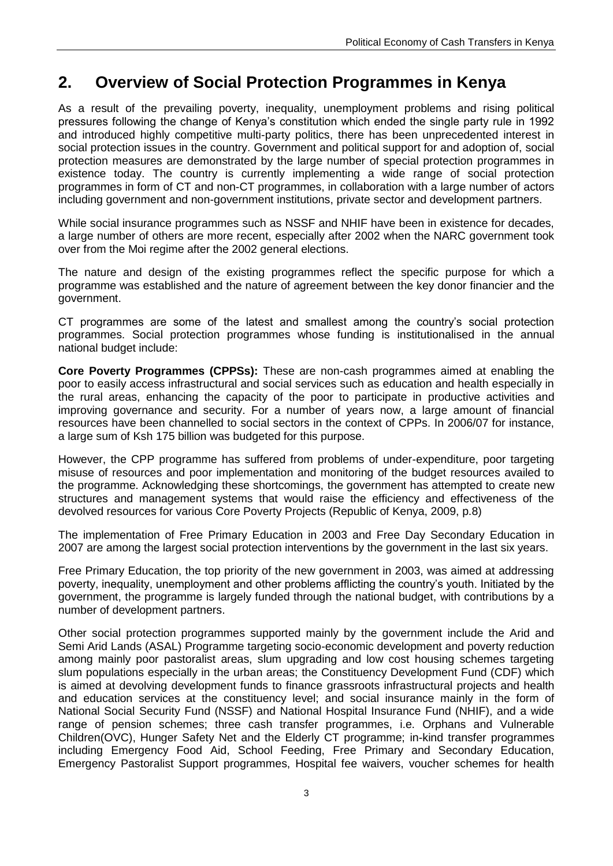## <span id="page-8-0"></span>**2. Overview of Social Protection Programmes in Kenya**

As a result of the prevailing poverty, inequality, unemployment problems and rising political pressures following the change of Kenya"s constitution which ended the single party rule in 1992 and introduced highly competitive multi-party politics, there has been unprecedented interest in social protection issues in the country. Government and political support for and adoption of, social protection measures are demonstrated by the large number of special protection programmes in existence today. The country is currently implementing a wide range of social protection programmes in form of CT and non-CT programmes, in collaboration with a large number of actors including government and non-government institutions, private sector and development partners.

While social insurance programmes such as NSSF and NHIF have been in existence for decades, a large number of others are more recent, especially after 2002 when the NARC government took over from the Moi regime after the 2002 general elections.

The nature and design of the existing programmes reflect the specific purpose for which a programme was established and the nature of agreement between the key donor financier and the government.

CT programmes are some of the latest and smallest among the country"s social protection programmes. Social protection programmes whose funding is institutionalised in the annual national budget include:

**Core Poverty Programmes (CPPSs):** These are non-cash programmes aimed at enabling the poor to easily access infrastructural and social services such as education and health especially in the rural areas, enhancing the capacity of the poor to participate in productive activities and improving governance and security. For a number of years now, a large amount of financial resources have been channelled to social sectors in the context of CPPs. In 2006/07 for instance, a large sum of Ksh 175 billion was budgeted for this purpose.

However, the CPP programme has suffered from problems of under-expenditure, poor targeting misuse of resources and poor implementation and monitoring of the budget resources availed to the programme. Acknowledging these shortcomings, the government has attempted to create new structures and management systems that would raise the efficiency and effectiveness of the devolved resources for various Core Poverty Projects (Republic of Kenya, 2009, p.8)

The implementation of Free Primary Education in 2003 and Free Day Secondary Education in 2007 are among the largest social protection interventions by the government in the last six years.

Free Primary Education, the top priority of the new government in 2003, was aimed at addressing poverty, inequality, unemployment and other problems afflicting the country"s youth. Initiated by the government, the programme is largely funded through the national budget, with contributions by a number of development partners.

Other social protection programmes supported mainly by the government include the Arid and Semi Arid Lands (ASAL) Programme targeting socio-economic development and poverty reduction among mainly poor pastoralist areas, slum upgrading and low cost housing schemes targeting slum populations especially in the urban areas; the Constituency Development Fund (CDF) which is aimed at devolving development funds to finance grassroots infrastructural projects and health and education services at the constituency level; and social insurance mainly in the form of National Social Security Fund (NSSF) and National Hospital Insurance Fund (NHIF), and a wide range of pension schemes; three cash transfer programmes, i.e. Orphans and Vulnerable Children(OVC), Hunger Safety Net and the Elderly CT programme; in-kind transfer programmes including Emergency Food Aid, School Feeding, Free Primary and Secondary Education, Emergency Pastoralist Support programmes, Hospital fee waivers, voucher schemes for health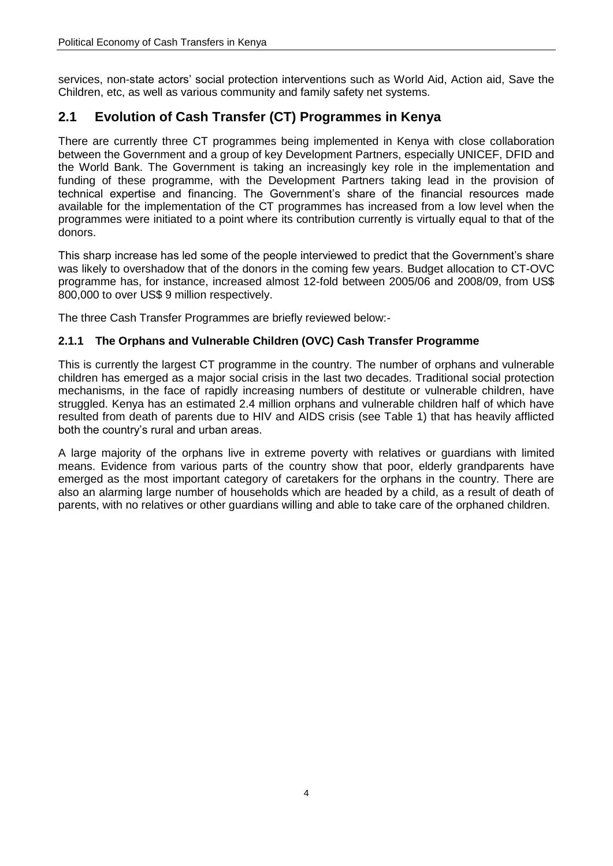services, non-state actors" social protection interventions such as World Aid, Action aid, Save the Children, etc, as well as various community and family safety net systems.

## <span id="page-9-0"></span>**2.1 Evolution of Cash Transfer (CT) Programmes in Kenya**

There are currently three CT programmes being implemented in Kenya with close collaboration between the Government and a group of key Development Partners, especially UNICEF, DFID and the World Bank. The Government is taking an increasingly key role in the implementation and funding of these programme, with the Development Partners taking lead in the provision of technical expertise and financing. The Government"s share of the financial resources made available for the implementation of the CT programmes has increased from a low level when the programmes were initiated to a point where its contribution currently is virtually equal to that of the donors.

This sharp increase has led some of the people interviewed to predict that the Government"s share was likely to overshadow that of the donors in the coming few years. Budget allocation to CT-OVC programme has, for instance, increased almost 12-fold between 2005/06 and 2008/09, from US\$ 800,000 to over US\$ 9 million respectively.

The three Cash Transfer Programmes are briefly reviewed below:-

#### <span id="page-9-1"></span>**2.1.1 The Orphans and Vulnerable Children (OVC) Cash Transfer Programme**

This is currently the largest CT programme in the country. The number of orphans and vulnerable children has emerged as a major social crisis in the last two decades. Traditional social protection mechanisms, in the face of rapidly increasing numbers of destitute or vulnerable children, have struggled. Kenya has an estimated 2.4 million orphans and vulnerable children half of which have resulted from death of parents due to HIV and AIDS crisis (see Table 1) that has heavily afflicted both the country"s rural and urban areas.

A large majority of the orphans live in extreme poverty with relatives or guardians with limited means. Evidence from various parts of the country show that poor, elderly grandparents have emerged as the most important category of caretakers for the orphans in the country. There are also an alarming large number of households which are headed by a child, as a result of death of parents, with no relatives or other guardians willing and able to take care of the orphaned children.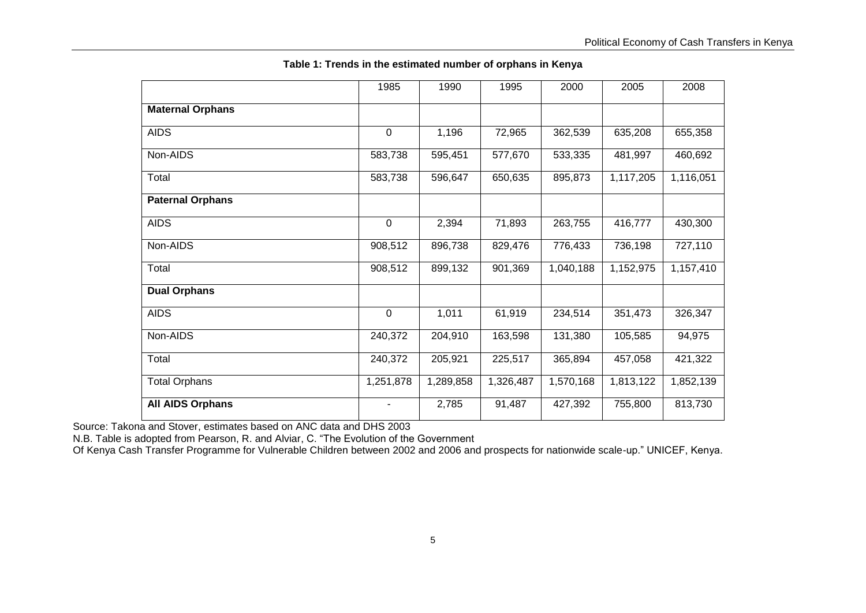|                         | 1985        | 1990      | 1995      | 2000      | 2005      | 2008      |
|-------------------------|-------------|-----------|-----------|-----------|-----------|-----------|
| <b>Maternal Orphans</b> |             |           |           |           |           |           |
| <b>AIDS</b>             | $\pmb{0}$   | 1,196     | 72,965    | 362,539   | 635,208   | 655,358   |
| Non-AIDS                | 583,738     | 595,451   | 577,670   | 533,335   | 481,997   | 460,692   |
| Total                   | 583,738     | 596,647   | 650,635   | 895,873   | 1,117,205 | 1,116,051 |
| <b>Paternal Orphans</b> |             |           |           |           |           |           |
| <b>AIDS</b>             | $\mathbf 0$ | 2,394     | 71,893    | 263,755   | 416,777   | 430,300   |
| Non-AIDS                | 908,512     | 896,738   | 829,476   | 776,433   | 736,198   | 727,110   |
| Total                   | 908,512     | 899,132   | 901,369   | 1,040,188 | 1,152,975 | 1,157,410 |
| <b>Dual Orphans</b>     |             |           |           |           |           |           |
| <b>AIDS</b>             | $\mathbf 0$ | 1,011     | 61,919    | 234,514   | 351,473   | 326,347   |
| Non-AIDS                | 240,372     | 204,910   | 163,598   | 131,380   | 105,585   | 94,975    |
| Total                   | 240,372     | 205,921   | 225,517   | 365,894   | 457,058   | 421,322   |
| <b>Total Orphans</b>    | 1,251,878   | 1,289,858 | 1,326,487 | 1,570,168 | 1,813,122 | 1,852,139 |
| <b>All AIDS Orphans</b> |             | 2,785     | 91,487    | 427,392   | 755,800   | 813,730   |

**Table 1: Trends in the estimated number of orphans in Kenya**

<span id="page-10-0"></span>Source: Takona and Stover, estimates based on ANC data and DHS 2003

N.B. Table is adopted from Pearson, R. and Alviar, C. "The Evolution of the Government

Of Kenya Cash Transfer Programme for Vulnerable Children between 2002 and 2006 and prospects for nationwide scale-up." UNICEF, Kenya.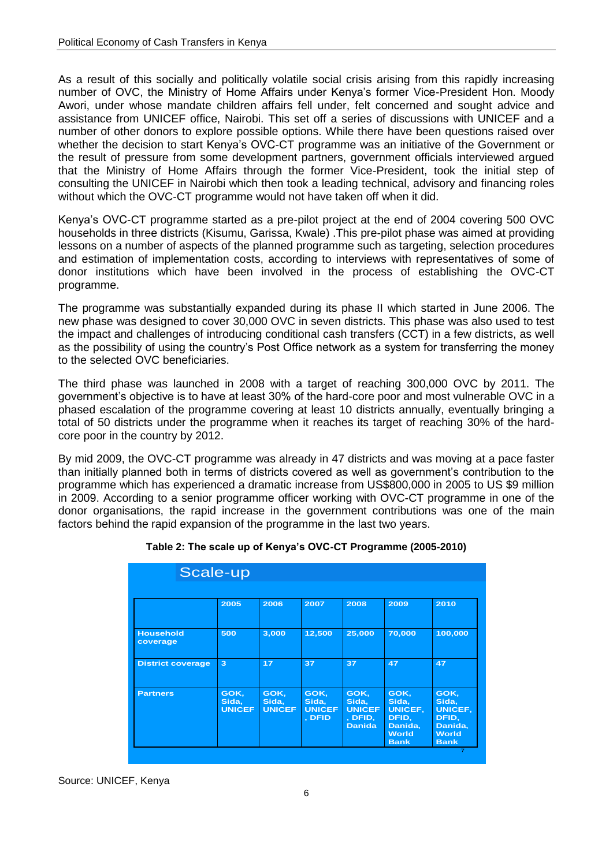As a result of this socially and politically volatile social crisis arising from this rapidly increasing number of OVC, the Ministry of Home Affairs under Kenya"s former Vice-President Hon. Moody Awori, under whose mandate children affairs fell under, felt concerned and sought advice and assistance from UNICEF office, Nairobi. This set off a series of discussions with UNICEF and a number of other donors to explore possible options. While there have been questions raised over whether the decision to start Kenya"s OVC-CT programme was an initiative of the Government or the result of pressure from some development partners, government officials interviewed argued that the Ministry of Home Affairs through the former Vice-President, took the initial step of consulting the UNICEF in Nairobi which then took a leading technical, advisory and financing roles without which the OVC-CT programme would not have taken off when it did.

Kenya"s OVC-CT programme started as a pre-pilot project at the end of 2004 covering 500 OVC households in three districts (Kisumu, Garissa, Kwale) .This pre-pilot phase was aimed at providing lessons on a number of aspects of the planned programme such as targeting, selection procedures and estimation of implementation costs, according to interviews with representatives of some of donor institutions which have been involved in the process of establishing the OVC-CT programme.

The programme was substantially expanded during its phase II which started in June 2006. The new phase was designed to cover 30,000 OVC in seven districts. This phase was also used to test the impact and challenges of introducing conditional cash transfers (CCT) in a few districts, as well as the possibility of using the country's Post Office network as a system for transferring the money to the selected OVC beneficiaries.

The third phase was launched in 2008 with a target of reaching 300,000 OVC by 2011. The government's objective is to have at least 30% of the hard-core poor and most vulnerable OVC in a phased escalation of the programme covering at least 10 districts annually, eventually bringing a total of 50 districts under the programme when it reaches its target of reaching 30% of the hardcore poor in the country by 2012.

By mid 2009, the OVC-CT programme was already in 47 districts and was moving at a pace faster than initially planned both in terms of districts covered as well as government"s contribution to the programme which has experienced a dramatic increase from US\$800,000 in 2005 to US \$9 million in 2009. According to a senior programme officer working with OVC-CT programme in one of the donor organisations, the rapid increase in the government contributions was one of the main factors behind the rapid expansion of the programme in the last two years.

<span id="page-11-0"></span>

| Scale-up                     |                                |                                |                                          |                                                            |                                                                                    |                                                                                    |  |  |  |
|------------------------------|--------------------------------|--------------------------------|------------------------------------------|------------------------------------------------------------|------------------------------------------------------------------------------------|------------------------------------------------------------------------------------|--|--|--|
|                              | 2005                           | 2006                           | 2007                                     | 2008                                                       | 2009                                                                               | 2010                                                                               |  |  |  |
| <b>Household</b><br>coverage | 500                            | 3,000                          | 12,500                                   | 25,000                                                     | 70,000                                                                             | 100,000                                                                            |  |  |  |
| <b>District coverage</b>     | 3                              | 17                             | 37                                       | 37                                                         | 47                                                                                 | 47                                                                                 |  |  |  |
| <b>Partners</b>              | GOK,<br>Sida,<br><b>UNICEF</b> | GOK,<br>Sida,<br><b>UNICEF</b> | GOK,<br>Sida,<br><b>UNICEF</b><br>, DFID | GOK,<br>Sida,<br><b>UNICEF</b><br>, DFID,<br><b>Danida</b> | GOK,<br>Sida,<br><b>UNICEF,</b><br>DFID,<br>Danida,<br><b>World</b><br><b>Bank</b> | GOK,<br>Sida,<br><b>UNICEF,</b><br>DFID,<br>Danida,<br><b>World</b><br><b>Bank</b> |  |  |  |

|  |  | Table 2: The scale up of Kenya's OVC-CT Programme (2005-2010) |
|--|--|---------------------------------------------------------------|
|--|--|---------------------------------------------------------------|

Source: UNICEF, Kenya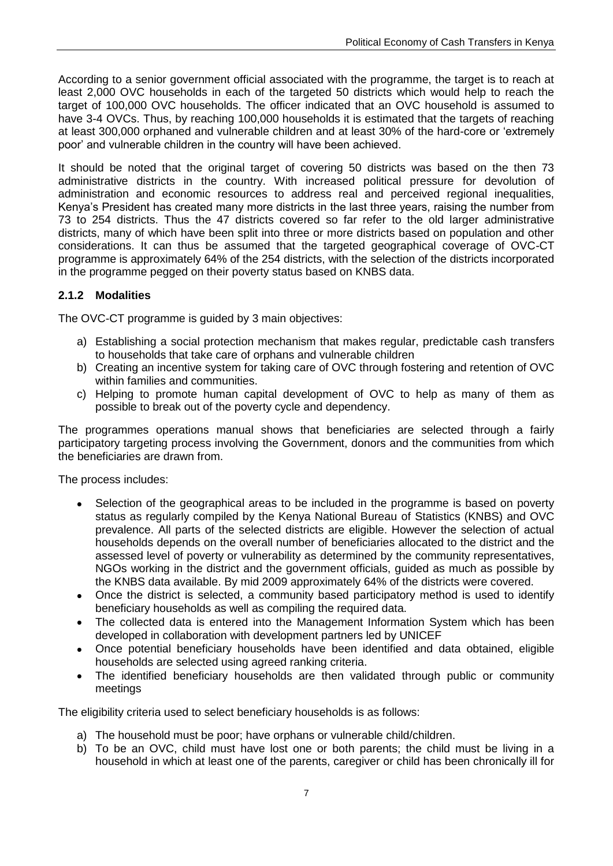According to a senior government official associated with the programme, the target is to reach at least 2,000 OVC households in each of the targeted 50 districts which would help to reach the target of 100,000 OVC households. The officer indicated that an OVC household is assumed to have 3-4 OVCs. Thus, by reaching 100,000 households it is estimated that the targets of reaching at least 300,000 orphaned and vulnerable children and at least 30% of the hard-core or "extremely poor" and vulnerable children in the country will have been achieved.

It should be noted that the original target of covering 50 districts was based on the then 73 administrative districts in the country. With increased political pressure for devolution of administration and economic resources to address real and perceived regional inequalities, Kenya"s President has created many more districts in the last three years, raising the number from 73 to 254 districts. Thus the 47 districts covered so far refer to the old larger administrative districts, many of which have been split into three or more districts based on population and other considerations. It can thus be assumed that the targeted geographical coverage of OVC-CT programme is approximately 64% of the 254 districts, with the selection of the districts incorporated in the programme pegged on their poverty status based on KNBS data.

#### <span id="page-12-0"></span>**2.1.2 Modalities**

The OVC-CT programme is guided by 3 main objectives:

- a) Establishing a social protection mechanism that makes regular, predictable cash transfers to households that take care of orphans and vulnerable children
- b) Creating an incentive system for taking care of OVC through fostering and retention of OVC within families and communities.
- c) Helping to promote human capital development of OVC to help as many of them as possible to break out of the poverty cycle and dependency.

The programmes operations manual shows that beneficiaries are selected through a fairly participatory targeting process involving the Government, donors and the communities from which the beneficiaries are drawn from.

The process includes:

- Selection of the geographical areas to be included in the programme is based on poverty  $\bullet$ status as regularly compiled by the Kenya National Bureau of Statistics (KNBS) and OVC prevalence. All parts of the selected districts are eligible. However the selection of actual households depends on the overall number of beneficiaries allocated to the district and the assessed level of poverty or vulnerability as determined by the community representatives, NGOs working in the district and the government officials, guided as much as possible by the KNBS data available. By mid 2009 approximately 64% of the districts were covered.
- Once the district is selected, a community based participatory method is used to identify  $\bullet$ beneficiary households as well as compiling the required data.
- The collected data is entered into the Management Information System which has been  $\bullet$ developed in collaboration with development partners led by UNICEF
- Once potential beneficiary households have been identified and data obtained, eligible  $\bullet$ households are selected using agreed ranking criteria.
- The identified beneficiary households are then validated through public or community  $\bullet$ meetings

The eligibility criteria used to select beneficiary households is as follows:

- a) The household must be poor; have orphans or vulnerable child/children.
- b) To be an OVC, child must have lost one or both parents; the child must be living in a household in which at least one of the parents, caregiver or child has been chronically ill for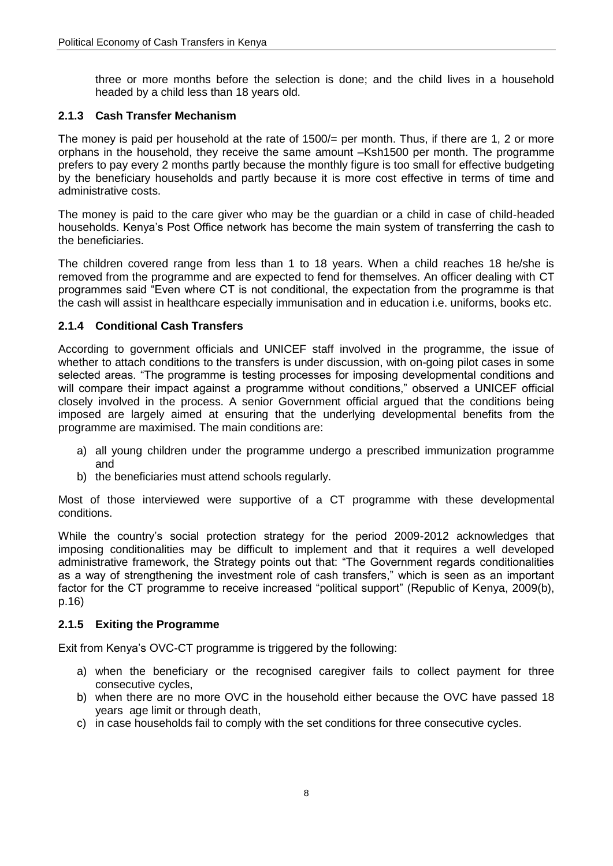three or more months before the selection is done; and the child lives in a household headed by a child less than 18 years old.

#### <span id="page-13-0"></span>**2.1.3 Cash Transfer Mechanism**

The money is paid per household at the rate of 1500/= per month. Thus, if there are 1, 2 or more orphans in the household, they receive the same amount –Ksh1500 per month. The programme prefers to pay every 2 months partly because the monthly figure is too small for effective budgeting by the beneficiary households and partly because it is more cost effective in terms of time and administrative costs.

The money is paid to the care giver who may be the guardian or a child in case of child-headed households. Kenya"s Post Office network has become the main system of transferring the cash to the beneficiaries.

The children covered range from less than 1 to 18 years. When a child reaches 18 he/she is removed from the programme and are expected to fend for themselves. An officer dealing with CT programmes said "Even where CT is not conditional, the expectation from the programme is that the cash will assist in healthcare especially immunisation and in education i.e. uniforms, books etc.

#### <span id="page-13-1"></span>**2.1.4 Conditional Cash Transfers**

According to government officials and UNICEF staff involved in the programme, the issue of whether to attach conditions to the transfers is under discussion, with on-going pilot cases in some selected areas. "The programme is testing processes for imposing developmental conditions and will compare their impact against a programme without conditions," observed a UNICEF official closely involved in the process. A senior Government official argued that the conditions being imposed are largely aimed at ensuring that the underlying developmental benefits from the programme are maximised. The main conditions are:

- a) all young children under the programme undergo a prescribed immunization programme and
- b) the beneficiaries must attend schools regularly.

Most of those interviewed were supportive of a CT programme with these developmental conditions.

While the country"s social protection strategy for the period 2009-2012 acknowledges that imposing conditionalities may be difficult to implement and that it requires a well developed administrative framework, the Strategy points out that: "The Government regards conditionalities as a way of strengthening the investment role of cash transfers," which is seen as an important factor for the CT programme to receive increased "political support" (Republic of Kenya, 2009(b), p.16)

#### <span id="page-13-2"></span>**2.1.5 Exiting the Programme**

Exit from Kenya"s OVC-CT programme is triggered by the following:

- a) when the beneficiary or the recognised caregiver fails to collect payment for three consecutive cycles,
- b) when there are no more OVC in the household either because the OVC have passed 18 years age limit or through death,
- c) in case households fail to comply with the set conditions for three consecutive cycles.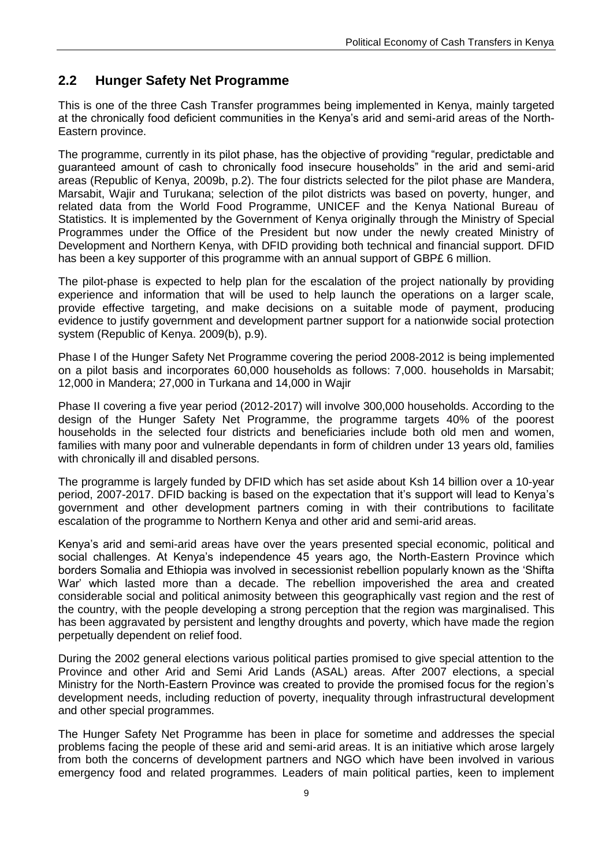## <span id="page-14-0"></span>**2.2 Hunger Safety Net Programme**

This is one of the three Cash Transfer programmes being implemented in Kenya, mainly targeted at the chronically food deficient communities in the Kenya's arid and semi-arid areas of the North-Eastern province.

The programme, currently in its pilot phase, has the objective of providing "regular, predictable and guaranteed amount of cash to chronically food insecure households" in the arid and semi-arid areas (Republic of Kenya, 2009b, p.2). The four districts selected for the pilot phase are Mandera, Marsabit, Wajir and Turukana; selection of the pilot districts was based on poverty, hunger, and related data from the World Food Programme, UNICEF and the Kenya National Bureau of Statistics. It is implemented by the Government of Kenya originally through the Ministry of Special Programmes under the Office of the President but now under the newly created Ministry of Development and Northern Kenya, with DFID providing both technical and financial support. DFID has been a key supporter of this programme with an annual support of GBP£ 6 million.

The pilot-phase is expected to help plan for the escalation of the project nationally by providing experience and information that will be used to help launch the operations on a larger scale, provide effective targeting, and make decisions on a suitable mode of payment, producing evidence to justify government and development partner support for a nationwide social protection system (Republic of Kenya. 2009(b), p.9).

Phase I of the Hunger Safety Net Programme covering the period 2008-2012 is being implemented on a pilot basis and incorporates 60,000 households as follows: 7,000. households in Marsabit; 12,000 in Mandera; 27,000 in Turkana and 14,000 in Wajir

Phase II covering a five year period (2012-2017) will involve 300,000 households. According to the design of the Hunger Safety Net Programme, the programme targets 40% of the poorest households in the selected four districts and beneficiaries include both old men and women, families with many poor and vulnerable dependants in form of children under 13 years old, families with chronically ill and disabled persons.

The programme is largely funded by DFID which has set aside about Ksh 14 billion over a 10-year period, 2007-2017. DFID backing is based on the expectation that it's support will lead to Kenya's government and other development partners coming in with their contributions to facilitate escalation of the programme to Northern Kenya and other arid and semi-arid areas.

Kenya"s arid and semi-arid areas have over the years presented special economic, political and social challenges. At Kenya's independence 45 years ago, the North-Eastern Province which borders Somalia and Ethiopia was involved in secessionist rebellion popularly known as the "Shifta War" which lasted more than a decade. The rebellion impoverished the area and created considerable social and political animosity between this geographically vast region and the rest of the country, with the people developing a strong perception that the region was marginalised. This has been aggravated by persistent and lengthy droughts and poverty, which have made the region perpetually dependent on relief food.

During the 2002 general elections various political parties promised to give special attention to the Province and other Arid and Semi Arid Lands (ASAL) areas. After 2007 elections, a special Ministry for the North-Eastern Province was created to provide the promised focus for the region"s development needs, including reduction of poverty, inequality through infrastructural development and other special programmes.

The Hunger Safety Net Programme has been in place for sometime and addresses the special problems facing the people of these arid and semi-arid areas. It is an initiative which arose largely from both the concerns of development partners and NGO which have been involved in various emergency food and related programmes. Leaders of main political parties, keen to implement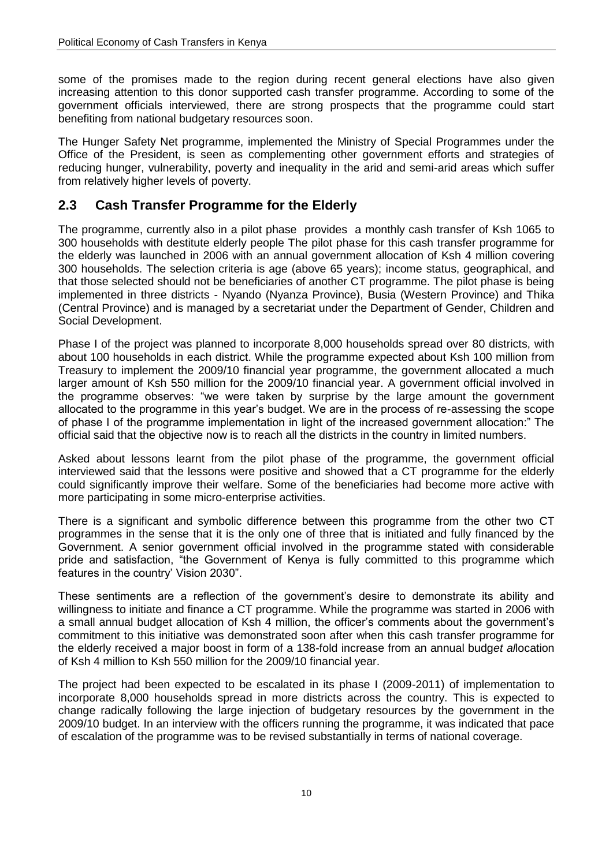some of the promises made to the region during recent general elections have also given increasing attention to this donor supported cash transfer programme. According to some of the government officials interviewed, there are strong prospects that the programme could start benefiting from national budgetary resources soon.

The Hunger Safety Net programme, implemented the Ministry of Special Programmes under the Office of the President, is seen as complementing other government efforts and strategies of reducing hunger, vulnerability, poverty and inequality in the arid and semi-arid areas which suffer from relatively higher levels of poverty.

#### <span id="page-15-0"></span>**2.3 Cash Transfer Programme for the Elderly**

The programme, currently also in a pilot phase provides a monthly cash transfer of Ksh 1065 to 300 households with destitute elderly people The pilot phase for this cash transfer programme for the elderly was launched in 2006 with an annual government allocation of Ksh 4 million covering 300 households. The selection criteria is age (above 65 years); income status, geographical, and that those selected should not be beneficiaries of another CT programme. The pilot phase is being implemented in three districts - Nyando (Nyanza Province), Busia (Western Province) and Thika (Central Province) and is managed by a secretariat under the Department of Gender, Children and Social Development.

Phase I of the project was planned to incorporate 8,000 households spread over 80 districts, with about 100 households in each district. While the programme expected about Ksh 100 million from Treasury to implement the 2009/10 financial year programme, the government allocated a much larger amount of Ksh 550 million for the 2009/10 financial year. A government official involved in the programme observes: "we were taken by surprise by the large amount the government allocated to the programme in this year"s budget. We are in the process of re-assessing the scope of phase I of the programme implementation in light of the increased government allocation:" The official said that the objective now is to reach all the districts in the country in limited numbers.

Asked about lessons learnt from the pilot phase of the programme, the government official interviewed said that the lessons were positive and showed that a CT programme for the elderly could significantly improve their welfare. Some of the beneficiaries had become more active with more participating in some micro-enterprise activities.

There is a significant and symbolic difference between this programme from the other two CT programmes in the sense that it is the only one of three that is initiated and fully financed by the Government. A senior government official involved in the programme stated with considerable pride and satisfaction, "the Government of Kenya is fully committed to this programme which features in the country' Vision 2030".

These sentiments are a reflection of the government"s desire to demonstrate its ability and willingness to initiate and finance a CT programme. While the programme was started in 2006 with a small annual budget allocation of Ksh 4 million, the officer's comments about the government's commitment to this initiative was demonstrated soon after when this cash transfer programme for the elderly received a major boost in form of a 138-fold increase from an annual budg*et al*location of Ksh 4 million to Ksh 550 million for the 2009/10 financial year.

The project had been expected to be escalated in its phase I (2009-2011) of implementation to incorporate 8,000 households spread in more districts across the country. This is expected to change radically following the large injection of budgetary resources by the government in the 2009/10 budget. In an interview with the officers running the programme, it was indicated that pace of escalation of the programme was to be revised substantially in terms of national coverage.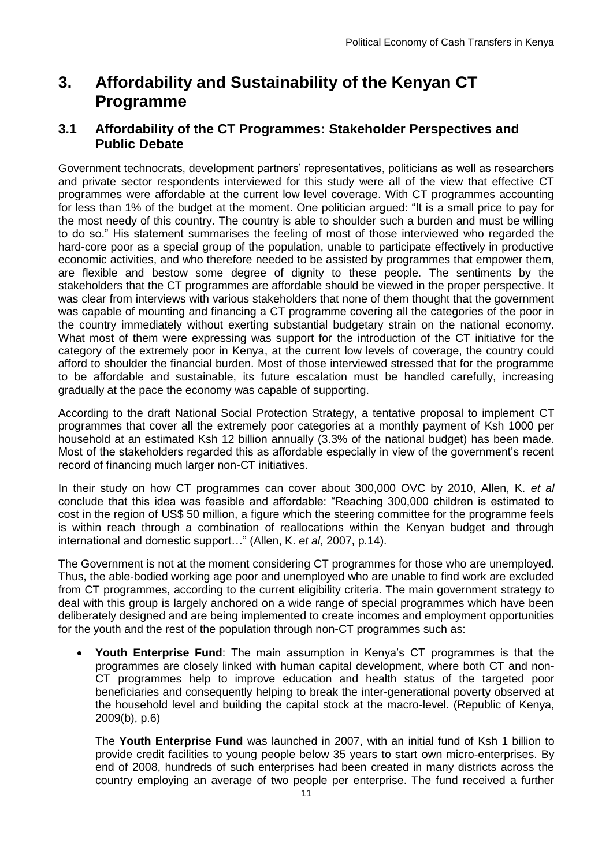## <span id="page-16-0"></span>**3. Affordability and Sustainability of the Kenyan CT Programme**

#### <span id="page-16-1"></span>**3.1 Affordability of the CT Programmes: Stakeholder Perspectives and Public Debate**

Government technocrats, development partners" representatives, politicians as well as researchers and private sector respondents interviewed for this study were all of the view that effective CT programmes were affordable at the current low level coverage. With CT programmes accounting for less than 1% of the budget at the moment. One politician argued: "It is a small price to pay for the most needy of this country. The country is able to shoulder such a burden and must be willing to do so." His statement summarises the feeling of most of those interviewed who regarded the hard-core poor as a special group of the population, unable to participate effectively in productive economic activities, and who therefore needed to be assisted by programmes that empower them, are flexible and bestow some degree of dignity to these people. The sentiments by the stakeholders that the CT programmes are affordable should be viewed in the proper perspective. It was clear from interviews with various stakeholders that none of them thought that the government was capable of mounting and financing a CT programme covering all the categories of the poor in the country immediately without exerting substantial budgetary strain on the national economy. What most of them were expressing was support for the introduction of the CT initiative for the category of the extremely poor in Kenya, at the current low levels of coverage, the country could afford to shoulder the financial burden. Most of those interviewed stressed that for the programme to be affordable and sustainable, its future escalation must be handled carefully, increasing gradually at the pace the economy was capable of supporting.

According to the draft National Social Protection Strategy, a tentative proposal to implement CT programmes that cover all the extremely poor categories at a monthly payment of Ksh 1000 per household at an estimated Ksh 12 billion annually (3.3% of the national budget) has been made. Most of the stakeholders regarded this as affordable especially in view of the government's recent record of financing much larger non-CT initiatives.

In their study on how CT programmes can cover about 300,000 OVC by 2010, Allen, K. *et al* conclude that this idea was feasible and affordable: "Reaching 300,000 children is estimated to cost in the region of US\$ 50 million, a figure which the steering committee for the programme feels is within reach through a combination of reallocations within the Kenyan budget and through international and domestic support…" (Allen, K. *et al*, 2007, p.14).

The Government is not at the moment considering CT programmes for those who are unemployed. Thus, the able-bodied working age poor and unemployed who are unable to find work are excluded from CT programmes, according to the current eligibility criteria. The main government strategy to deal with this group is largely anchored on a wide range of special programmes which have been deliberately designed and are being implemented to create incomes and employment opportunities for the youth and the rest of the population through non-CT programmes such as:

 $\bullet$ Youth Enterprise Fund: The main assumption in Kenya's CT programmes is that the programmes are closely linked with human capital development, where both CT and non-CT programmes help to improve education and health status of the targeted poor beneficiaries and consequently helping to break the inter-generational poverty observed at the household level and building the capital stock at the macro-level. (Republic of Kenya, 2009(b), p.6)

The **Youth Enterprise Fund** was launched in 2007, with an initial fund of Ksh 1 billion to provide credit facilities to young people below 35 years to start own micro-enterprises. By end of 2008, hundreds of such enterprises had been created in many districts across the country employing an average of two people per enterprise. The fund received a further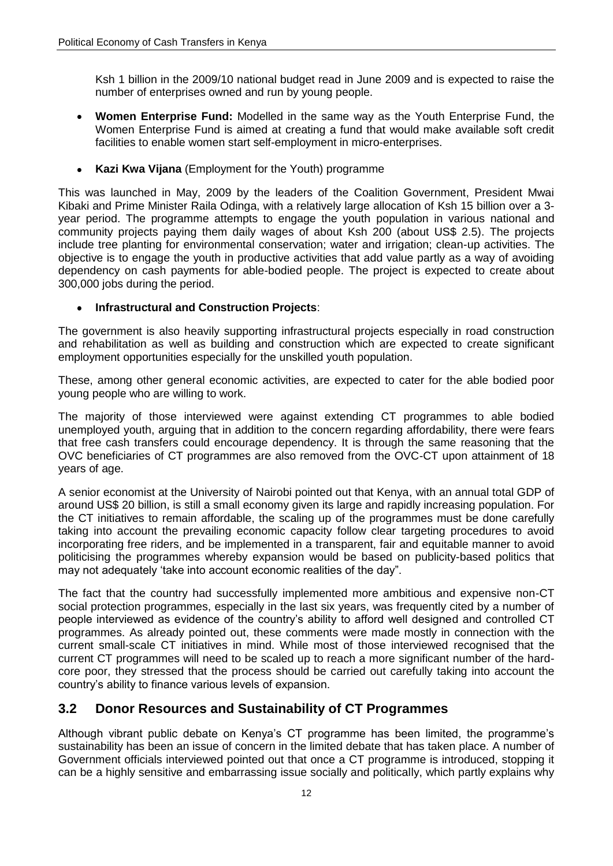Ksh 1 billion in the 2009/10 national budget read in June 2009 and is expected to raise the number of enterprises owned and run by young people.

- **Women Enterprise Fund:** Modelled in the same way as the Youth Enterprise Fund, the  $\bullet$ Women Enterprise Fund is aimed at creating a fund that would make available soft credit facilities to enable women start self-employment in micro-enterprises.
- **Kazi Kwa Vijana** (Employment for the Youth) programme  $\bullet$

This was launched in May, 2009 by the leaders of the Coalition Government, President Mwai Kibaki and Prime Minister Raila Odinga, with a relatively large allocation of Ksh 15 billion over a 3 year period. The programme attempts to engage the youth population in various national and community projects paying them daily wages of about Ksh 200 (about US\$ 2.5). The projects include tree planting for environmental conservation; water and irrigation; clean-up activities. The objective is to engage the youth in productive activities that add value partly as a way of avoiding dependency on cash payments for able-bodied people. The project is expected to create about 300,000 jobs during the period.

#### **Infrastructural and Construction Projects**:  $\bullet$

The government is also heavily supporting infrastructural projects especially in road construction and rehabilitation as well as building and construction which are expected to create significant employment opportunities especially for the unskilled youth population.

These, among other general economic activities, are expected to cater for the able bodied poor young people who are willing to work.

The majority of those interviewed were against extending CT programmes to able bodied unemployed youth, arguing that in addition to the concern regarding affordability, there were fears that free cash transfers could encourage dependency. It is through the same reasoning that the OVC beneficiaries of CT programmes are also removed from the OVC-CT upon attainment of 18 years of age.

A senior economist at the University of Nairobi pointed out that Kenya, with an annual total GDP of around US\$ 20 billion, is still a small economy given its large and rapidly increasing population. For the CT initiatives to remain affordable, the scaling up of the programmes must be done carefully taking into account the prevailing economic capacity follow clear targeting procedures to avoid incorporating free riders, and be implemented in a transparent, fair and equitable manner to avoid politicising the programmes whereby expansion would be based on publicity-based politics that may not adequately "take into account economic realities of the day".

The fact that the country had successfully implemented more ambitious and expensive non-CT social protection programmes, especially in the last six years, was frequently cited by a number of people interviewed as evidence of the country"s ability to afford well designed and controlled CT programmes. As already pointed out, these comments were made mostly in connection with the current small-scale CT initiatives in mind. While most of those interviewed recognised that the current CT programmes will need to be scaled up to reach a more significant number of the hardcore poor, they stressed that the process should be carried out carefully taking into account the country"s ability to finance various levels of expansion.

#### <span id="page-17-0"></span>**3.2 Donor Resources and Sustainability of CT Programmes**

Although vibrant public debate on Kenya's CT programme has been limited, the programme's sustainability has been an issue of concern in the limited debate that has taken place. A number of Government officials interviewed pointed out that once a CT programme is introduced, stopping it can be a highly sensitive and embarrassing issue socially and politically, which partly explains why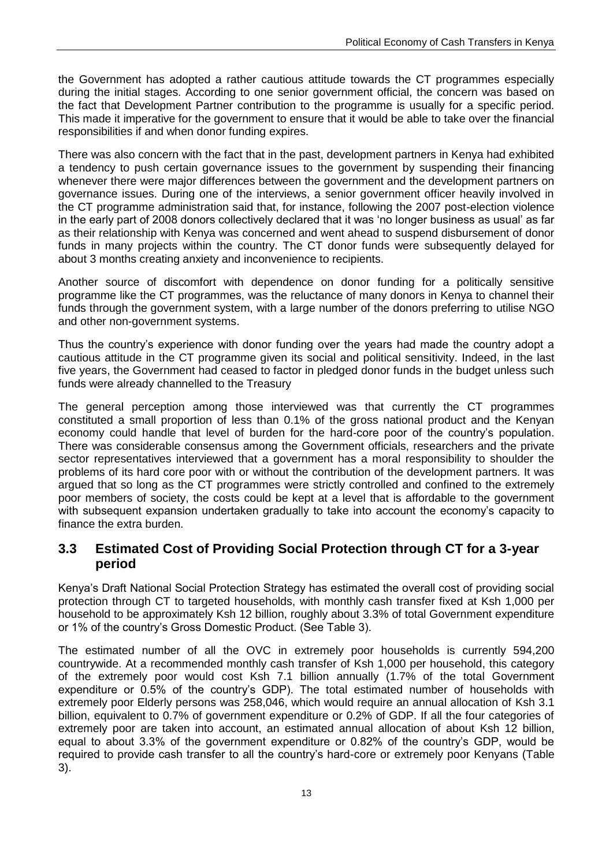the Government has adopted a rather cautious attitude towards the CT programmes especially during the initial stages. According to one senior government official, the concern was based on the fact that Development Partner contribution to the programme is usually for a specific period. This made it imperative for the government to ensure that it would be able to take over the financial responsibilities if and when donor funding expires.

There was also concern with the fact that in the past, development partners in Kenya had exhibited a tendency to push certain governance issues to the government by suspending their financing whenever there were major differences between the government and the development partners on governance issues. During one of the interviews, a senior government officer heavily involved in the CT programme administration said that, for instance, following the 2007 post-election violence in the early part of 2008 donors collectively declared that it was "no longer business as usual" as far as their relationship with Kenya was concerned and went ahead to suspend disbursement of donor funds in many projects within the country. The CT donor funds were subsequently delayed for about 3 months creating anxiety and inconvenience to recipients.

Another source of discomfort with dependence on donor funding for a politically sensitive programme like the CT programmes, was the reluctance of many donors in Kenya to channel their funds through the government system, with a large number of the donors preferring to utilise NGO and other non-government systems.

Thus the country"s experience with donor funding over the years had made the country adopt a cautious attitude in the CT programme given its social and political sensitivity. Indeed, in the last five years, the Government had ceased to factor in pledged donor funds in the budget unless such funds were already channelled to the Treasury

The general perception among those interviewed was that currently the CT programmes constituted a small proportion of less than 0.1% of the gross national product and the Kenyan economy could handle that level of burden for the hard-core poor of the country's population. There was considerable consensus among the Government officials, researchers and the private sector representatives interviewed that a government has a moral responsibility to shoulder the problems of its hard core poor with or without the contribution of the development partners. It was argued that so long as the CT programmes were strictly controlled and confined to the extremely poor members of society, the costs could be kept at a level that is affordable to the government with subsequent expansion undertaken gradually to take into account the economy's capacity to finance the extra burden.

#### <span id="page-18-0"></span>**3.3 Estimated Cost of Providing Social Protection through CT for a 3-year period**

Kenya"s Draft National Social Protection Strategy has estimated the overall cost of providing social protection through CT to targeted households, with monthly cash transfer fixed at Ksh 1,000 per household to be approximately Ksh 12 billion, roughly about 3.3% of total Government expenditure or 1% of the country"s Gross Domestic Product. (See Table 3).

The estimated number of all the OVC in extremely poor households is currently 594,200 countrywide. At a recommended monthly cash transfer of Ksh 1,000 per household, this category of the extremely poor would cost Ksh 7.1 billion annually (1.7% of the total Government expenditure or 0.5% of the country's GDP). The total estimated number of households with extremely poor Elderly persons was 258,046, which would require an annual allocation of Ksh 3.1 billion, equivalent to 0.7% of government expenditure or 0.2% of GDP. If all the four categories of extremely poor are taken into account, an estimated annual allocation of about Ksh 12 billion, equal to about 3.3% of the government expenditure or 0.82% of the country"s GDP, would be required to provide cash transfer to all the country"s hard-core or extremely poor Kenyans (Table 3).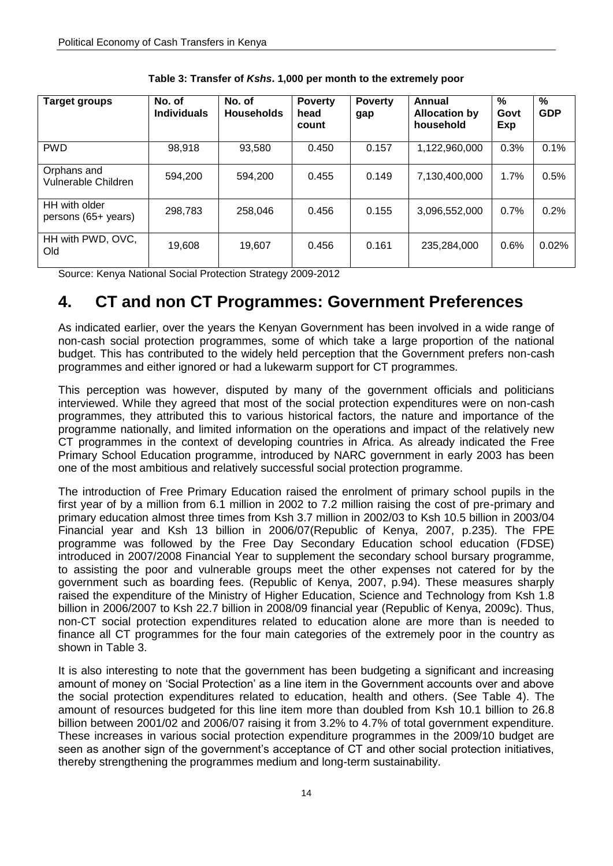<span id="page-19-1"></span>

| <b>Target groups</b>                 | No. of<br><b>Individuals</b> | No. of<br><b>Households</b> | <b>Poverty</b><br>head<br>count | <b>Poverty</b><br>gap | Annual<br><b>Allocation by</b><br>household | %<br>Govt<br>Exp | %<br><b>GDP</b> |
|--------------------------------------|------------------------------|-----------------------------|---------------------------------|-----------------------|---------------------------------------------|------------------|-----------------|
| <b>PWD</b>                           | 98,918                       | 93,580                      | 0.450                           | 0.157                 | 1,122,960,000                               | 0.3%             | 0.1%            |
| Orphans and<br>Vulnerable Children   | 594,200                      | 594,200                     | 0.455                           | 0.149                 | 7,130,400,000                               | 1.7%             | 0.5%            |
| HH with older<br>persons (65+ years) | 298,783                      | 258.046                     | 0.456                           | 0.155                 | 3,096,552,000                               | 0.7%             | 0.2%            |
| HH with PWD, OVC,<br>Old             | 19,608                       | 19.607                      | 0.456                           | 0.161                 | 235,284,000                                 | 0.6%             | 0.02%           |

**Table 3: Transfer of** *Kshs***. 1,000 per month to the extremely poor**

Source: Kenya National Social Protection Strategy 2009-2012

## <span id="page-19-0"></span>**4. CT and non CT Programmes: Government Preferences**

As indicated earlier, over the years the Kenyan Government has been involved in a wide range of non-cash social protection programmes, some of which take a large proportion of the national budget. This has contributed to the widely held perception that the Government prefers non-cash programmes and either ignored or had a lukewarm support for CT programmes.

This perception was however, disputed by many of the government officials and politicians interviewed. While they agreed that most of the social protection expenditures were on non-cash programmes, they attributed this to various historical factors, the nature and importance of the programme nationally, and limited information on the operations and impact of the relatively new CT programmes in the context of developing countries in Africa. As already indicated the Free Primary School Education programme, introduced by NARC government in early 2003 has been one of the most ambitious and relatively successful social protection programme.

The introduction of Free Primary Education raised the enrolment of primary school pupils in the first year of by a million from 6.1 million in 2002 to 7.2 million raising the cost of pre-primary and primary education almost three times from Ksh 3.7 million in 2002/03 to Ksh 10.5 billion in 2003/04 Financial year and Ksh 13 billion in 2006/07(Republic of Kenya, 2007, p.235). The FPE programme was followed by the Free Day Secondary Education school education (FDSE) introduced in 2007/2008 Financial Year to supplement the secondary school bursary programme, to assisting the poor and vulnerable groups meet the other expenses not catered for by the government such as boarding fees. (Republic of Kenya, 2007, p.94). These measures sharply raised the expenditure of the Ministry of Higher Education, Science and Technology from Ksh 1.8 billion in 2006/2007 to Ksh 22.7 billion in 2008/09 financial year (Republic of Kenya, 2009c). Thus, non-CT social protection expenditures related to education alone are more than is needed to finance all CT programmes for the four main categories of the extremely poor in the country as shown in Table 3.

It is also interesting to note that the government has been budgeting a significant and increasing amount of money on "Social Protection" as a line item in the Government accounts over and above the social protection expenditures related to education, health and others. (See Table 4). The amount of resources budgeted for this line item more than doubled from Ksh 10.1 billion to 26.8 billion between 2001/02 and 2006/07 raising it from 3.2% to 4.7% of total government expenditure. These increases in various social protection expenditure programmes in the 2009/10 budget are seen as another sign of the government's acceptance of CT and other social protection initiatives, thereby strengthening the programmes medium and long-term sustainability.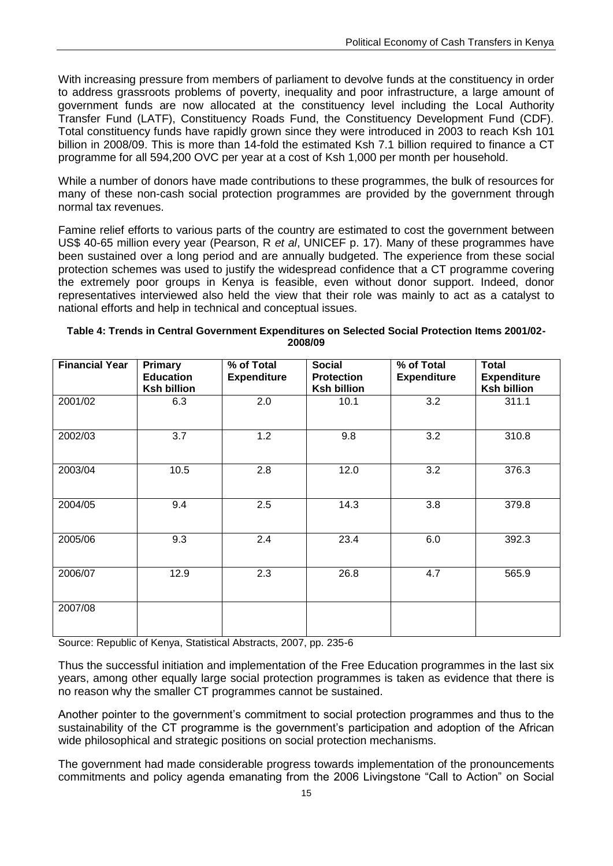With increasing pressure from members of parliament to devolve funds at the constituency in order to address grassroots problems of poverty, inequality and poor infrastructure, a large amount of government funds are now allocated at the constituency level including the Local Authority Transfer Fund (LATF), Constituency Roads Fund, the Constituency Development Fund (CDF). Total constituency funds have rapidly grown since they were introduced in 2003 to reach Ksh 101 billion in 2008/09. This is more than 14-fold the estimated Ksh 7.1 billion required to finance a CT programme for all 594,200 OVC per year at a cost of Ksh 1,000 per month per household.

While a number of donors have made contributions to these programmes, the bulk of resources for many of these non-cash social protection programmes are provided by the government through normal tax revenues.

Famine relief efforts to various parts of the country are estimated to cost the government between US\$ 40-65 million every year (Pearson, R *et al*, UNICEF p. 17). Many of these programmes have been sustained over a long period and are annually budgeted. The experience from these social protection schemes was used to justify the widespread confidence that a CT programme covering the extremely poor groups in Kenya is feasible, even without donor support. Indeed, donor representatives interviewed also held the view that their role was mainly to act as a catalyst to national efforts and help in technical and conceptual issues.

<span id="page-20-0"></span>

| Table 4: Trends in Central Government Expenditures on Selected Social Protection Items 2001/02- |  |
|-------------------------------------------------------------------------------------------------|--|
| 2008/09                                                                                         |  |

| <b>Financial Year</b> | <b>Primary</b><br><b>Education</b><br><b>Ksh billion</b> | % of Total<br><b>Expenditure</b> | <b>Social</b><br><b>Protection</b><br><b>Ksh billion</b> | % of Total<br><b>Expenditure</b> | <b>Total</b><br><b>Expenditure</b><br><b>Ksh billion</b> |
|-----------------------|----------------------------------------------------------|----------------------------------|----------------------------------------------------------|----------------------------------|----------------------------------------------------------|
| 2001/02               | 6.3                                                      | 2.0                              | 10.1                                                     | 3.2                              | 311.1                                                    |
| 2002/03               | 3.7                                                      | 1.2                              | 9.8                                                      | 3.2                              | 310.8                                                    |
| 2003/04               | 10.5                                                     | 2.8                              | 12.0                                                     | 3.2                              | 376.3                                                    |
| 2004/05               | 9.4                                                      | 2.5                              | 14.3                                                     | 3.8                              | 379.8                                                    |
| 2005/06               | 9.3                                                      | 2.4                              | 23.4                                                     | 6.0                              | 392.3                                                    |
| 2006/07               | 12.9                                                     | 2.3                              | 26.8                                                     | 4.7                              | 565.9                                                    |
| 2007/08               |                                                          |                                  |                                                          |                                  |                                                          |

Source: Republic of Kenya, Statistical Abstracts, 2007, pp. 235-6

Thus the successful initiation and implementation of the Free Education programmes in the last six years, among other equally large social protection programmes is taken as evidence that there is no reason why the smaller CT programmes cannot be sustained.

Another pointer to the government"s commitment to social protection programmes and thus to the sustainability of the CT programme is the government's participation and adoption of the African wide philosophical and strategic positions on social protection mechanisms.

The government had made considerable progress towards implementation of the pronouncements commitments and policy agenda emanating from the 2006 Livingstone "Call to Action" on Social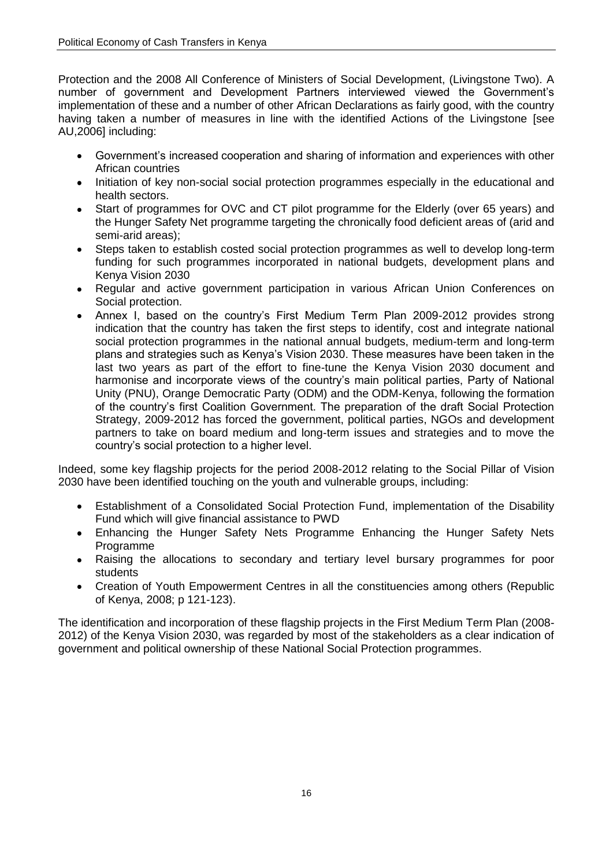Protection and the 2008 All Conference of Ministers of Social Development, (Livingstone Two). A number of government and Development Partners interviewed viewed the Government"s implementation of these and a number of other African Declarations as fairly good, with the country having taken a number of measures in line with the identified Actions of the Livingstone [see AU,2006] including:

- $\bullet$  . Government"s increased cooperation and sharing of information and experiences with other African countries
- Initiation of key non-social social protection programmes especially in the educational and  $\bullet$ health sectors.
- Start of programmes for OVC and CT pilot programme for the Elderly (over 65 years) and  $\bullet$ the Hunger Safety Net programme targeting the chronically food deficient areas of (arid and semi-arid areas);
- Steps taken to establish costed social protection programmes as well to develop long-term  $\bullet$ funding for such programmes incorporated in national budgets, development plans and Kenya Vision 2030
- Regular and active government participation in various African Union Conferences on Social protection.
- Annex I, based on the country"s First Medium Term Plan 2009-2012 provides strong  $\bullet$ indication that the country has taken the first steps to identify, cost and integrate national social protection programmes in the national annual budgets, medium-term and long-term plans and strategies such as Kenya"s Vision 2030. These measures have been taken in the last two years as part of the effort to fine-tune the Kenya Vision 2030 document and harmonise and incorporate views of the country"s main political parties, Party of National Unity (PNU), Orange Democratic Party (ODM) and the ODM-Kenya, following the formation of the country"s first Coalition Government. The preparation of the draft Social Protection Strategy, 2009-2012 has forced the government, political parties, NGOs and development partners to take on board medium and long-term issues and strategies and to move the country"s social protection to a higher level.

Indeed, some key flagship projects for the period 2008-2012 relating to the Social Pillar of Vision 2030 have been identified touching on the youth and vulnerable groups, including:

- Establishment of a Consolidated Social Protection Fund, implementation of the Disability Fund which will give financial assistance to PWD
- Enhancing the Hunger Safety Nets Programme Enhancing the Hunger Safety Nets Programme
- Raising the allocations to secondary and tertiary level bursary programmes for poor  $\bullet$ students
- $\bullet$ Creation of Youth Empowerment Centres in all the constituencies among others (Republic of Kenya, 2008; p 121-123).

The identification and incorporation of these flagship projects in the First Medium Term Plan (2008- 2012) of the Kenya Vision 2030, was regarded by most of the stakeholders as a clear indication of government and political ownership of these National Social Protection programmes.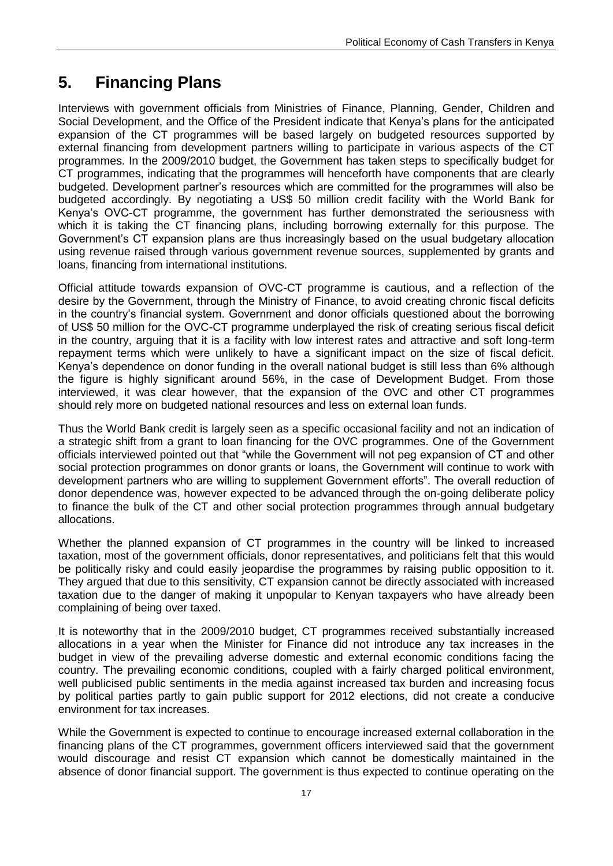# <span id="page-22-0"></span>**5. Financing Plans**

Interviews with government officials from Ministries of Finance, Planning, Gender, Children and Social Development, and the Office of the President indicate that Kenya"s plans for the anticipated expansion of the CT programmes will be based largely on budgeted resources supported by external financing from development partners willing to participate in various aspects of the CT programmes. In the 2009/2010 budget, the Government has taken steps to specifically budget for CT programmes, indicating that the programmes will henceforth have components that are clearly budgeted. Development partner"s resources which are committed for the programmes will also be budgeted accordingly. By negotiating a US\$ 50 million credit facility with the World Bank for Kenya"s OVC-CT programme, the government has further demonstrated the seriousness with which it is taking the CT financing plans, including borrowing externally for this purpose. The Government"s CT expansion plans are thus increasingly based on the usual budgetary allocation using revenue raised through various government revenue sources, supplemented by grants and loans, financing from international institutions.

Official attitude towards expansion of OVC-CT programme is cautious, and a reflection of the desire by the Government, through the Ministry of Finance, to avoid creating chronic fiscal deficits in the country"s financial system. Government and donor officials questioned about the borrowing of US\$ 50 million for the OVC-CT programme underplayed the risk of creating serious fiscal deficit in the country, arguing that it is a facility with low interest rates and attractive and soft long-term repayment terms which were unlikely to have a significant impact on the size of fiscal deficit. Kenya"s dependence on donor funding in the overall national budget is still less than 6% although the figure is highly significant around 56%, in the case of Development Budget. From those interviewed, it was clear however, that the expansion of the OVC and other CT programmes should rely more on budgeted national resources and less on external loan funds.

Thus the World Bank credit is largely seen as a specific occasional facility and not an indication of a strategic shift from a grant to loan financing for the OVC programmes. One of the Government officials interviewed pointed out that "while the Government will not peg expansion of CT and other social protection programmes on donor grants or loans, the Government will continue to work with development partners who are willing to supplement Government efforts". The overall reduction of donor dependence was, however expected to be advanced through the on-going deliberate policy to finance the bulk of the CT and other social protection programmes through annual budgetary allocations.

Whether the planned expansion of CT programmes in the country will be linked to increased taxation, most of the government officials, donor representatives, and politicians felt that this would be politically risky and could easily jeopardise the programmes by raising public opposition to it. They argued that due to this sensitivity, CT expansion cannot be directly associated with increased taxation due to the danger of making it unpopular to Kenyan taxpayers who have already been complaining of being over taxed.

It is noteworthy that in the 2009/2010 budget, CT programmes received substantially increased allocations in a year when the Minister for Finance did not introduce any tax increases in the budget in view of the prevailing adverse domestic and external economic conditions facing the country. The prevailing economic conditions, coupled with a fairly charged political environment, well publicised public sentiments in the media against increased tax burden and increasing focus by political parties partly to gain public support for 2012 elections, did not create a conducive environment for tax increases.

While the Government is expected to continue to encourage increased external collaboration in the financing plans of the CT programmes, government officers interviewed said that the government would discourage and resist CT expansion which cannot be domestically maintained in the absence of donor financial support. The government is thus expected to continue operating on the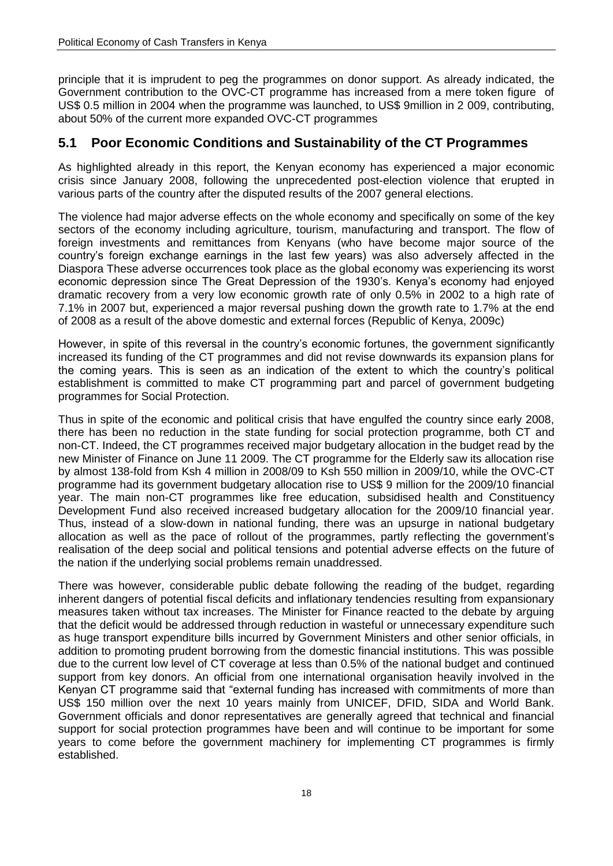principle that it is imprudent to peg the programmes on donor support. As already indicated, the Government contribution to the OVC-CT programme has increased from a mere token figure of US\$ 0.5 million in 2004 when the programme was launched, to US\$ 9million in 2 009, contributing, about 50% of the current more expanded OVC-CT programmes

#### <span id="page-23-0"></span>**5.1 Poor Economic Conditions and Sustainability of the CT Programmes**

As highlighted already in this report, the Kenyan economy has experienced a major economic crisis since January 2008, following the unprecedented post-election violence that erupted in various parts of the country after the disputed results of the 2007 general elections.

The violence had major adverse effects on the whole economy and specifically on some of the key sectors of the economy including agriculture, tourism, manufacturing and transport. The flow of foreign investments and remittances from Kenyans (who have become major source of the country"s foreign exchange earnings in the last few years) was also adversely affected in the Diaspora These adverse occurrences took place as the global economy was experiencing its worst economic depression since The Great Depression of the 1930's. Kenya's economy had enjoyed dramatic recovery from a very low economic growth rate of only 0.5% in 2002 to a high rate of 7.1% in 2007 but, experienced a major reversal pushing down the growth rate to 1.7% at the end of 2008 as a result of the above domestic and external forces (Republic of Kenya, 2009c)

However, in spite of this reversal in the country"s economic fortunes, the government significantly increased its funding of the CT programmes and did not revise downwards its expansion plans for the coming years. This is seen as an indication of the extent to which the country"s political establishment is committed to make CT programming part and parcel of government budgeting programmes for Social Protection.

Thus in spite of the economic and political crisis that have engulfed the country since early 2008, there has been no reduction in the state funding for social protection programme, both CT and non-CT. Indeed, the CT programmes received major budgetary allocation in the budget read by the new Minister of Finance on June 11 2009. The CT programme for the Elderly saw its allocation rise by almost 138-fold from Ksh 4 million in 2008/09 to Ksh 550 million in 2009/10, while the OVC-CT programme had its government budgetary allocation rise to US\$ 9 million for the 2009/10 financial year. The main non-CT programmes like free education, subsidised health and Constituency Development Fund also received increased budgetary allocation for the 2009/10 financial year. Thus, instead of a slow-down in national funding, there was an upsurge in national budgetary allocation as well as the pace of rollout of the programmes, partly reflecting the government"s realisation of the deep social and political tensions and potential adverse effects on the future of the nation if the underlying social problems remain unaddressed.

There was however, considerable public debate following the reading of the budget, regarding inherent dangers of potential fiscal deficits and inflationary tendencies resulting from expansionary measures taken without tax increases. The Minister for Finance reacted to the debate by arguing that the deficit would be addressed through reduction in wasteful or unnecessary expenditure such as huge transport expenditure bills incurred by Government Ministers and other senior officials, in addition to promoting prudent borrowing from the domestic financial institutions. This was possible due to the current low level of CT coverage at less than 0.5% of the national budget and continued support from key donors. An official from one international organisation heavily involved in the Kenyan CT programme said that "external funding has increased with commitments of more than US\$ 150 million over the next 10 years mainly from UNICEF, DFID, SIDA and World Bank. Government officials and donor representatives are generally agreed that technical and financial support for social protection programmes have been and will continue to be important for some years to come before the government machinery for implementing CT programmes is firmly established.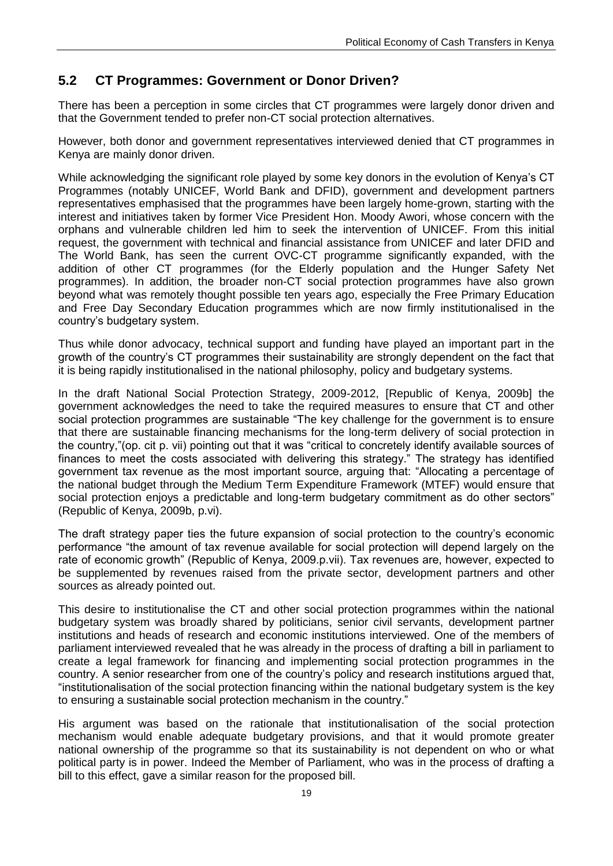## <span id="page-24-0"></span>**5.2 CT Programmes: Government or Donor Driven?**

There has been a perception in some circles that CT programmes were largely donor driven and that the Government tended to prefer non-CT social protection alternatives.

However, both donor and government representatives interviewed denied that CT programmes in Kenya are mainly donor driven.

While acknowledging the significant role played by some key donors in the evolution of Kenya"s CT Programmes (notably UNICEF, World Bank and DFID), government and development partners representatives emphasised that the programmes have been largely home-grown, starting with the interest and initiatives taken by former Vice President Hon. Moody Awori, whose concern with the orphans and vulnerable children led him to seek the intervention of UNICEF. From this initial request, the government with technical and financial assistance from UNICEF and later DFID and The World Bank, has seen the current OVC-CT programme significantly expanded, with the addition of other CT programmes (for the Elderly population and the Hunger Safety Net programmes). In addition, the broader non-CT social protection programmes have also grown beyond what was remotely thought possible ten years ago, especially the Free Primary Education and Free Day Secondary Education programmes which are now firmly institutionalised in the country"s budgetary system.

Thus while donor advocacy, technical support and funding have played an important part in the growth of the country"s CT programmes their sustainability are strongly dependent on the fact that it is being rapidly institutionalised in the national philosophy, policy and budgetary systems.

In the draft National Social Protection Strategy, 2009-2012, [Republic of Kenya, 2009b] the government acknowledges the need to take the required measures to ensure that CT and other social protection programmes are sustainable "The key challenge for the government is to ensure that there are sustainable financing mechanisms for the long-term delivery of social protection in the country,"(op. cit p. vii) pointing out that it was "critical to concretely identify available sources of finances to meet the costs associated with delivering this strategy." The strategy has identified government tax revenue as the most important source, arguing that: "Allocating a percentage of the national budget through the Medium Term Expenditure Framework (MTEF) would ensure that social protection enjoys a predictable and long-term budgetary commitment as do other sectors" (Republic of Kenya, 2009b, p.vi).

The draft strategy paper ties the future expansion of social protection to the country"s economic performance "the amount of tax revenue available for social protection will depend largely on the rate of economic growth" (Republic of Kenya, 2009.p.vii). Tax revenues are, however, expected to be supplemented by revenues raised from the private sector, development partners and other sources as already pointed out.

This desire to institutionalise the CT and other social protection programmes within the national budgetary system was broadly shared by politicians, senior civil servants, development partner institutions and heads of research and economic institutions interviewed. One of the members of parliament interviewed revealed that he was already in the process of drafting a bill in parliament to create a legal framework for financing and implementing social protection programmes in the country. A senior researcher from one of the country"s policy and research institutions argued that, "institutionalisation of the social protection financing within the national budgetary system is the key to ensuring a sustainable social protection mechanism in the country."

His argument was based on the rationale that institutionalisation of the social protection mechanism would enable adequate budgetary provisions, and that it would promote greater national ownership of the programme so that its sustainability is not dependent on who or what political party is in power. Indeed the Member of Parliament, who was in the process of drafting a bill to this effect, gave a similar reason for the proposed bill.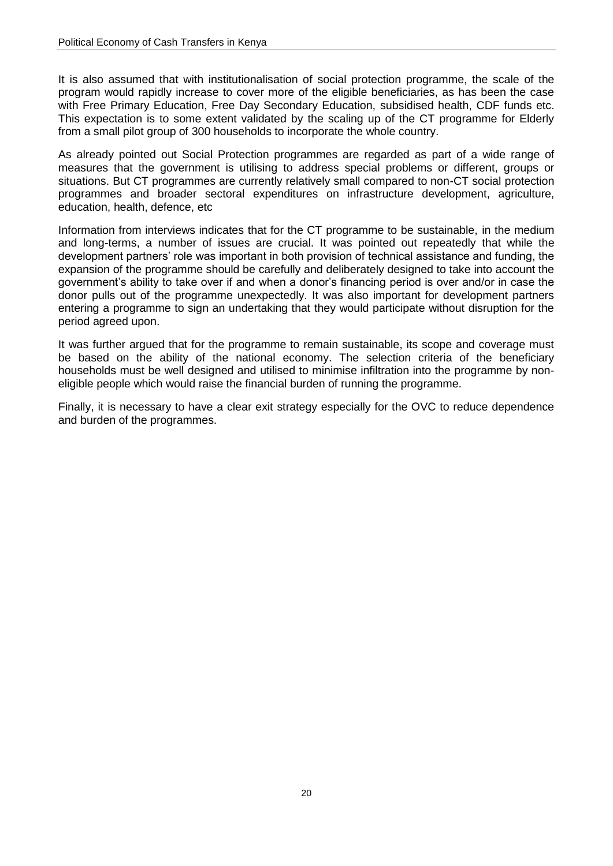It is also assumed that with institutionalisation of social protection programme, the scale of the program would rapidly increase to cover more of the eligible beneficiaries, as has been the case with Free Primary Education, Free Day Secondary Education, subsidised health, CDF funds etc. This expectation is to some extent validated by the scaling up of the CT programme for Elderly from a small pilot group of 300 households to incorporate the whole country.

As already pointed out Social Protection programmes are regarded as part of a wide range of measures that the government is utilising to address special problems or different, groups or situations. But CT programmes are currently relatively small compared to non-CT social protection programmes and broader sectoral expenditures on infrastructure development, agriculture, education, health, defence, etc

Information from interviews indicates that for the CT programme to be sustainable, in the medium and long-terms, a number of issues are crucial. It was pointed out repeatedly that while the development partners" role was important in both provision of technical assistance and funding, the expansion of the programme should be carefully and deliberately designed to take into account the government"s ability to take over if and when a donor"s financing period is over and/or in case the donor pulls out of the programme unexpectedly. It was also important for development partners entering a programme to sign an undertaking that they would participate without disruption for the period agreed upon.

It was further argued that for the programme to remain sustainable, its scope and coverage must be based on the ability of the national economy. The selection criteria of the beneficiary households must be well designed and utilised to minimise infiltration into the programme by noneligible people which would raise the financial burden of running the programme.

Finally, it is necessary to have a clear exit strategy especially for the OVC to reduce dependence and burden of the programmes.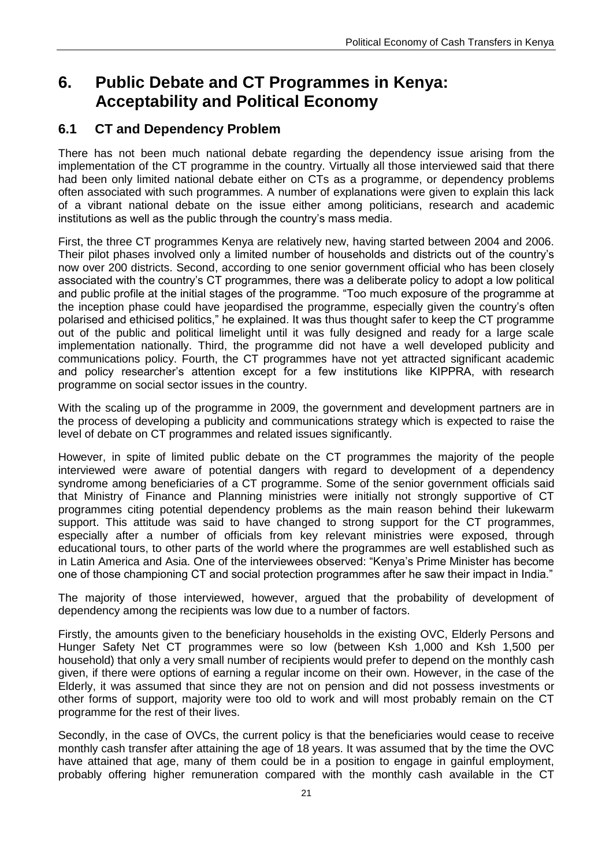## <span id="page-26-0"></span>**6. Public Debate and CT Programmes in Kenya: Acceptability and Political Economy**

## <span id="page-26-1"></span>**6.1 CT and Dependency Problem**

There has not been much national debate regarding the dependency issue arising from the implementation of the CT programme in the country. Virtually all those interviewed said that there had been only limited national debate either on CTs as a programme, or dependency problems often associated with such programmes. A number of explanations were given to explain this lack of a vibrant national debate on the issue either among politicians, research and academic institutions as well as the public through the country's mass media.

First, the three CT programmes Kenya are relatively new, having started between 2004 and 2006. Their pilot phases involved only a limited number of households and districts out of the country"s now over 200 districts. Second, according to one senior government official who has been closely associated with the country"s CT programmes, there was a deliberate policy to adopt a low political and public profile at the initial stages of the programme. "Too much exposure of the programme at the inception phase could have jeopardised the programme, especially given the country"s often polarised and ethicised politics," he explained. It was thus thought safer to keep the CT programme out of the public and political limelight until it was fully designed and ready for a large scale implementation nationally. Third, the programme did not have a well developed publicity and communications policy. Fourth, the CT programmes have not yet attracted significant academic and policy researcher"s attention except for a few institutions like KIPPRA, with research programme on social sector issues in the country.

With the scaling up of the programme in 2009, the government and development partners are in the process of developing a publicity and communications strategy which is expected to raise the level of debate on CT programmes and related issues significantly.

However, in spite of limited public debate on the CT programmes the majority of the people interviewed were aware of potential dangers with regard to development of a dependency syndrome among beneficiaries of a CT programme. Some of the senior government officials said that Ministry of Finance and Planning ministries were initially not strongly supportive of CT programmes citing potential dependency problems as the main reason behind their lukewarm support. This attitude was said to have changed to strong support for the CT programmes, especially after a number of officials from key relevant ministries were exposed, through educational tours, to other parts of the world where the programmes are well established such as in Latin America and Asia. One of the interviewees observed: "Kenya"s Prime Minister has become one of those championing CT and social protection programmes after he saw their impact in India."

The majority of those interviewed, however, argued that the probability of development of dependency among the recipients was low due to a number of factors.

Firstly, the amounts given to the beneficiary households in the existing OVC, Elderly Persons and Hunger Safety Net CT programmes were so low (between Ksh 1,000 and Ksh 1,500 per household) that only a very small number of recipients would prefer to depend on the monthly cash given, if there were options of earning a regular income on their own. However, in the case of the Elderly, it was assumed that since they are not on pension and did not possess investments or other forms of support, majority were too old to work and will most probably remain on the CT programme for the rest of their lives.

Secondly, in the case of OVCs, the current policy is that the beneficiaries would cease to receive monthly cash transfer after attaining the age of 18 years. It was assumed that by the time the OVC have attained that age, many of them could be in a position to engage in gainful employment, probably offering higher remuneration compared with the monthly cash available in the CT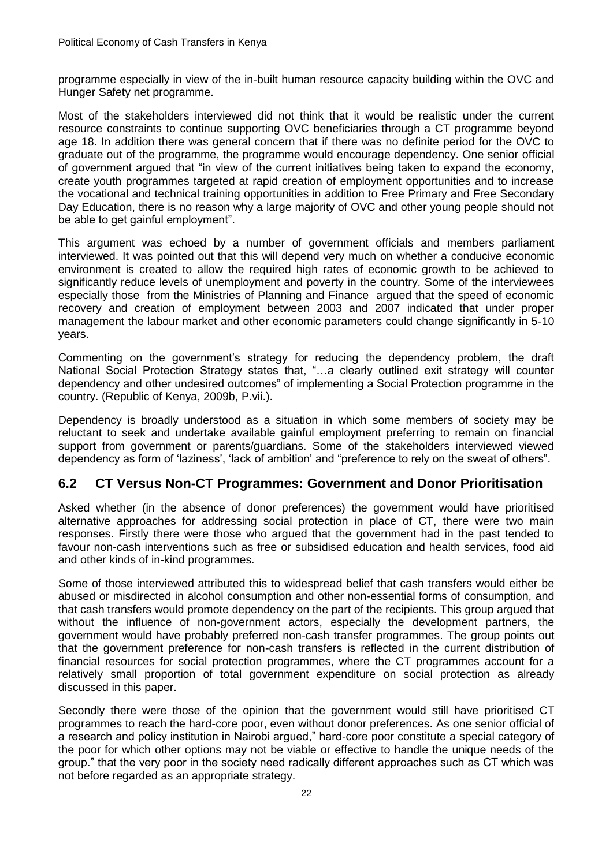programme especially in view of the in-built human resource capacity building within the OVC and Hunger Safety net programme.

Most of the stakeholders interviewed did not think that it would be realistic under the current resource constraints to continue supporting OVC beneficiaries through a CT programme beyond age 18. In addition there was general concern that if there was no definite period for the OVC to graduate out of the programme, the programme would encourage dependency. One senior official of government argued that "in view of the current initiatives being taken to expand the economy, create youth programmes targeted at rapid creation of employment opportunities and to increase the vocational and technical training opportunities in addition to Free Primary and Free Secondary Day Education, there is no reason why a large majority of OVC and other young people should not be able to get gainful employment".

This argument was echoed by a number of government officials and members parliament interviewed. It was pointed out that this will depend very much on whether a conducive economic environment is created to allow the required high rates of economic growth to be achieved to significantly reduce levels of unemployment and poverty in the country. Some of the interviewees especially those from the Ministries of Planning and Finance argued that the speed of economic recovery and creation of employment between 2003 and 2007 indicated that under proper management the labour market and other economic parameters could change significantly in 5-10 years.

Commenting on the government's strategy for reducing the dependency problem, the draft National Social Protection Strategy states that, "…a clearly outlined exit strategy will counter dependency and other undesired outcomes" of implementing a Social Protection programme in the country. (Republic of Kenya, 2009b, P.vii.).

Dependency is broadly understood as a situation in which some members of society may be reluctant to seek and undertake available gainful employment preferring to remain on financial support from government or parents/guardians. Some of the stakeholders interviewed viewed dependency as form of "laziness", "lack of ambition" and "preference to rely on the sweat of others".

#### <span id="page-27-0"></span>**6.2 CT Versus Non-CT Programmes: Government and Donor Prioritisation**

Asked whether (in the absence of donor preferences) the government would have prioritised alternative approaches for addressing social protection in place of CT, there were two main responses. Firstly there were those who argued that the government had in the past tended to favour non-cash interventions such as free or subsidised education and health services, food aid and other kinds of in-kind programmes.

Some of those interviewed attributed this to widespread belief that cash transfers would either be abused or misdirected in alcohol consumption and other non-essential forms of consumption, and that cash transfers would promote dependency on the part of the recipients. This group argued that without the influence of non-government actors, especially the development partners, the government would have probably preferred non-cash transfer programmes. The group points out that the government preference for non-cash transfers is reflected in the current distribution of financial resources for social protection programmes, where the CT programmes account for a relatively small proportion of total government expenditure on social protection as already discussed in this paper.

Secondly there were those of the opinion that the government would still have prioritised CT programmes to reach the hard-core poor, even without donor preferences. As one senior official of a research and policy institution in Nairobi argued," hard-core poor constitute a special category of the poor for which other options may not be viable or effective to handle the unique needs of the group." that the very poor in the society need radically different approaches such as CT which was not before regarded as an appropriate strategy.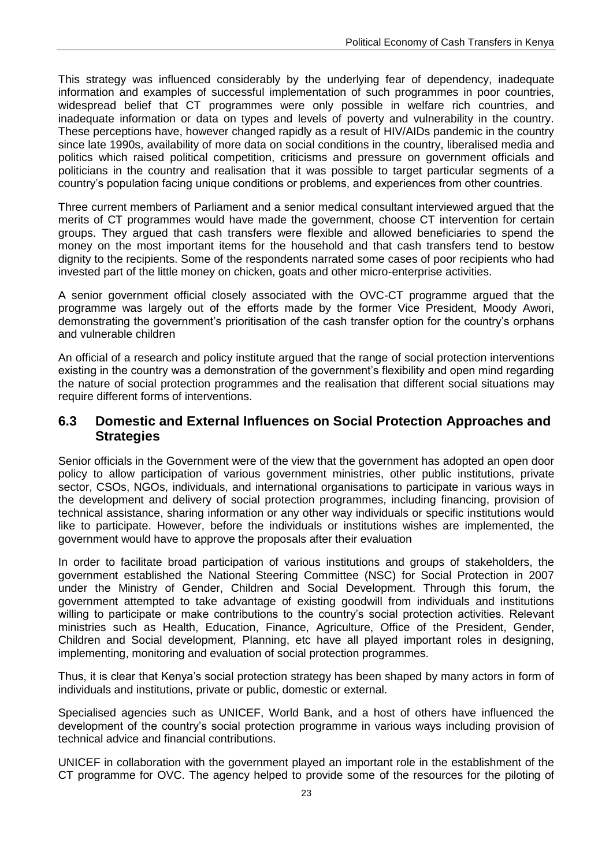This strategy was influenced considerably by the underlying fear of dependency, inadequate information and examples of successful implementation of such programmes in poor countries, widespread belief that CT programmes were only possible in welfare rich countries, and inadequate information or data on types and levels of poverty and vulnerability in the country. These perceptions have, however changed rapidly as a result of HIV/AIDs pandemic in the country since late 1990s, availability of more data on social conditions in the country, liberalised media and politics which raised political competition, criticisms and pressure on government officials and politicians in the country and realisation that it was possible to target particular segments of a country"s population facing unique conditions or problems, and experiences from other countries.

Three current members of Parliament and a senior medical consultant interviewed argued that the merits of CT programmes would have made the government, choose CT intervention for certain groups. They argued that cash transfers were flexible and allowed beneficiaries to spend the money on the most important items for the household and that cash transfers tend to bestow dignity to the recipients. Some of the respondents narrated some cases of poor recipients who had invested part of the little money on chicken, goats and other micro-enterprise activities.

A senior government official closely associated with the OVC-CT programme argued that the programme was largely out of the efforts made by the former Vice President, Moody Awori, demonstrating the government's prioritisation of the cash transfer option for the country's orphans and vulnerable children

An official of a research and policy institute argued that the range of social protection interventions existing in the country was a demonstration of the government's flexibility and open mind regarding the nature of social protection programmes and the realisation that different social situations may require different forms of interventions.

#### <span id="page-28-0"></span>**6.3 Domestic and External Influences on Social Protection Approaches and Strategies**

Senior officials in the Government were of the view that the government has adopted an open door policy to allow participation of various government ministries, other public institutions, private sector, CSOs, NGOs, individuals, and international organisations to participate in various ways in the development and delivery of social protection programmes, including financing, provision of technical assistance, sharing information or any other way individuals or specific institutions would like to participate. However, before the individuals or institutions wishes are implemented, the government would have to approve the proposals after their evaluation

In order to facilitate broad participation of various institutions and groups of stakeholders, the government established the National Steering Committee (NSC) for Social Protection in 2007 under the Ministry of Gender, Children and Social Development. Through this forum, the government attempted to take advantage of existing goodwill from individuals and institutions willing to participate or make contributions to the country"s social protection activities. Relevant ministries such as Health, Education, Finance, Agriculture, Office of the President, Gender, Children and Social development, Planning, etc have all played important roles in designing, implementing, monitoring and evaluation of social protection programmes.

Thus, it is clear that Kenya"s social protection strategy has been shaped by many actors in form of individuals and institutions, private or public, domestic or external.

Specialised agencies such as UNICEF, World Bank, and a host of others have influenced the development of the country"s social protection programme in various ways including provision of technical advice and financial contributions.

UNICEF in collaboration with the government played an important role in the establishment of the CT programme for OVC. The agency helped to provide some of the resources for the piloting of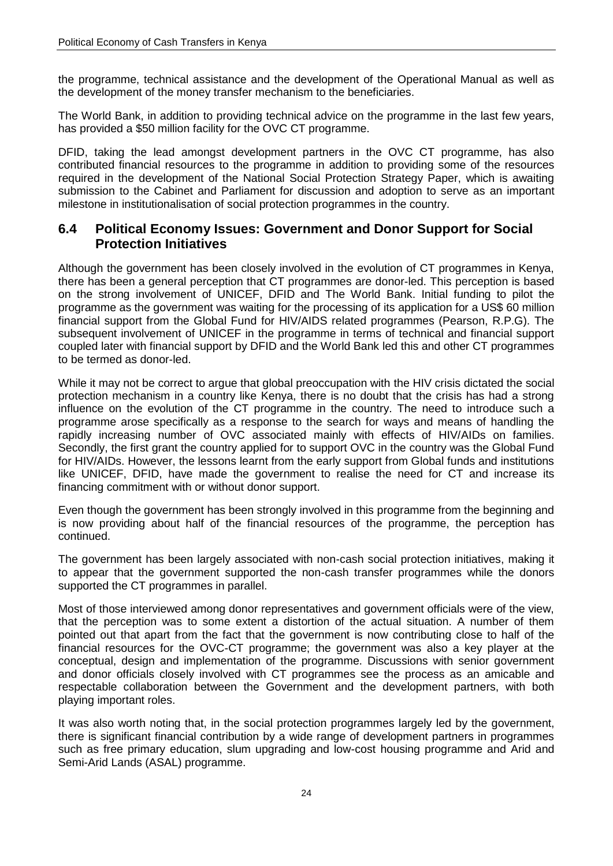the programme, technical assistance and the development of the Operational Manual as well as the development of the money transfer mechanism to the beneficiaries.

The World Bank, in addition to providing technical advice on the programme in the last few years, has provided a \$50 million facility for the OVC CT programme.

DFID, taking the lead amongst development partners in the OVC CT programme, has also contributed financial resources to the programme in addition to providing some of the resources required in the development of the National Social Protection Strategy Paper, which is awaiting submission to the Cabinet and Parliament for discussion and adoption to serve as an important milestone in institutionalisation of social protection programmes in the country.

#### <span id="page-29-0"></span>**6.4 Political Economy Issues: Government and Donor Support for Social Protection Initiatives**

Although the government has been closely involved in the evolution of CT programmes in Kenya, there has been a general perception that CT programmes are donor-led. This perception is based on the strong involvement of UNICEF, DFID and The World Bank. Initial funding to pilot the programme as the government was waiting for the processing of its application for a US\$ 60 million financial support from the Global Fund for HIV/AIDS related programmes (Pearson, R.P.G). The subsequent involvement of UNICEF in the programme in terms of technical and financial support coupled later with financial support by DFID and the World Bank led this and other CT programmes to be termed as donor-led.

While it may not be correct to argue that global preoccupation with the HIV crisis dictated the social protection mechanism in a country like Kenya, there is no doubt that the crisis has had a strong influence on the evolution of the CT programme in the country. The need to introduce such a programme arose specifically as a response to the search for ways and means of handling the rapidly increasing number of OVC associated mainly with effects of HIV/AIDs on families. Secondly, the first grant the country applied for to support OVC in the country was the Global Fund for HIV/AIDs. However, the lessons learnt from the early support from Global funds and institutions like UNICEF, DFID, have made the government to realise the need for CT and increase its financing commitment with or without donor support.

Even though the government has been strongly involved in this programme from the beginning and is now providing about half of the financial resources of the programme, the perception has continued.

The government has been largely associated with non-cash social protection initiatives, making it to appear that the government supported the non-cash transfer programmes while the donors supported the CT programmes in parallel.

Most of those interviewed among donor representatives and government officials were of the view, that the perception was to some extent a distortion of the actual situation. A number of them pointed out that apart from the fact that the government is now contributing close to half of the financial resources for the OVC-CT programme; the government was also a key player at the conceptual, design and implementation of the programme. Discussions with senior government and donor officials closely involved with CT programmes see the process as an amicable and respectable collaboration between the Government and the development partners, with both playing important roles.

It was also worth noting that, in the social protection programmes largely led by the government, there is significant financial contribution by a wide range of development partners in programmes such as free primary education, slum upgrading and low-cost housing programme and Arid and Semi-Arid Lands (ASAL) programme.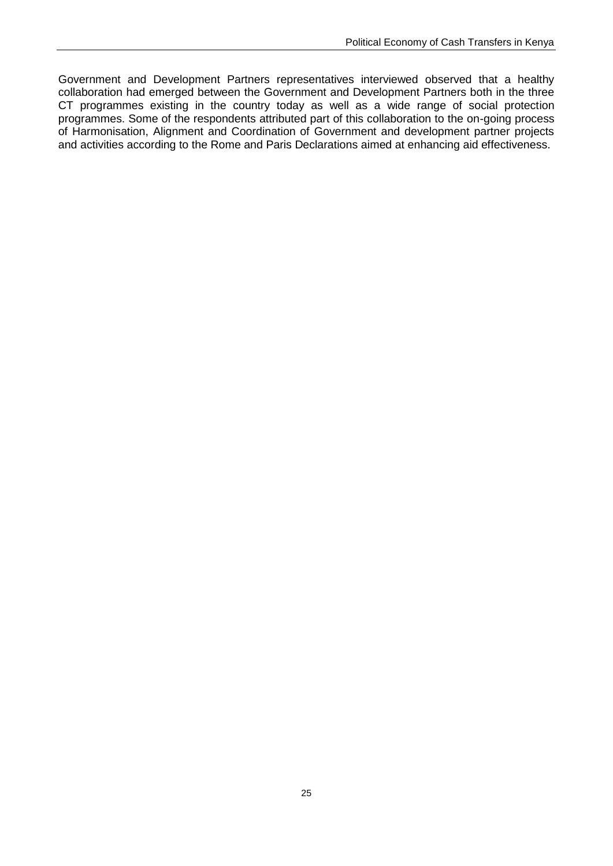Government and Development Partners representatives interviewed observed that a healthy collaboration had emerged between the Government and Development Partners both in the three CT programmes existing in the country today as well as a wide range of social protection programmes. Some of the respondents attributed part of this collaboration to the on-going process of Harmonisation, Alignment and Coordination of Government and development partner projects and activities according to the Rome and Paris Declarations aimed at enhancing aid effectiveness.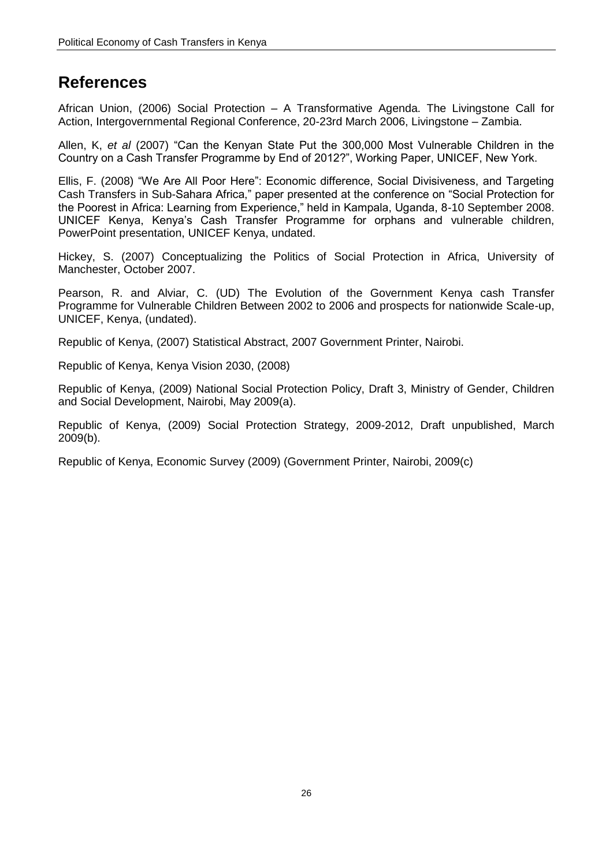## <span id="page-31-0"></span>**References**

African Union, (2006) Social Protection – A Transformative Agenda. The Livingstone Call for Action, Intergovernmental Regional Conference, 20-23rd March 2006, Livingstone – Zambia.

Allen, K, *et al* (2007) "Can the Kenyan State Put the 300,000 Most Vulnerable Children in the Country on a Cash Transfer Programme by End of 2012?", Working Paper, UNICEF, New York.

Ellis, F. (2008) "We Are All Poor Here": Economic difference, Social Divisiveness, and Targeting Cash Transfers in Sub-Sahara Africa," paper presented at the conference on "Social Protection for the Poorest in Africa: Learning from Experience," held in Kampala, Uganda, 8-10 September 2008. UNICEF Kenya, Kenya"s Cash Transfer Programme for orphans and vulnerable children, PowerPoint presentation, UNICEF Kenya, undated.

Hickey, S. (2007) Conceptualizing the Politics of Social Protection in Africa, University of Manchester, October 2007.

Pearson, R. and Alviar, C. (UD) The Evolution of the Government Kenya cash Transfer Programme for Vulnerable Children Between 2002 to 2006 and prospects for nationwide Scale-up, UNICEF, Kenya, (undated).

Republic of Kenya, (2007) Statistical Abstract, 2007 Government Printer, Nairobi.

Republic of Kenya, Kenya Vision 2030, (2008)

Republic of Kenya, (2009) National Social Protection Policy, Draft 3, Ministry of Gender, Children and Social Development, Nairobi, May 2009(a).

Republic of Kenya, (2009) Social Protection Strategy, 2009-2012, Draft unpublished, March 2009(b).

Republic of Kenya, Economic Survey (2009) (Government Printer, Nairobi, 2009(c)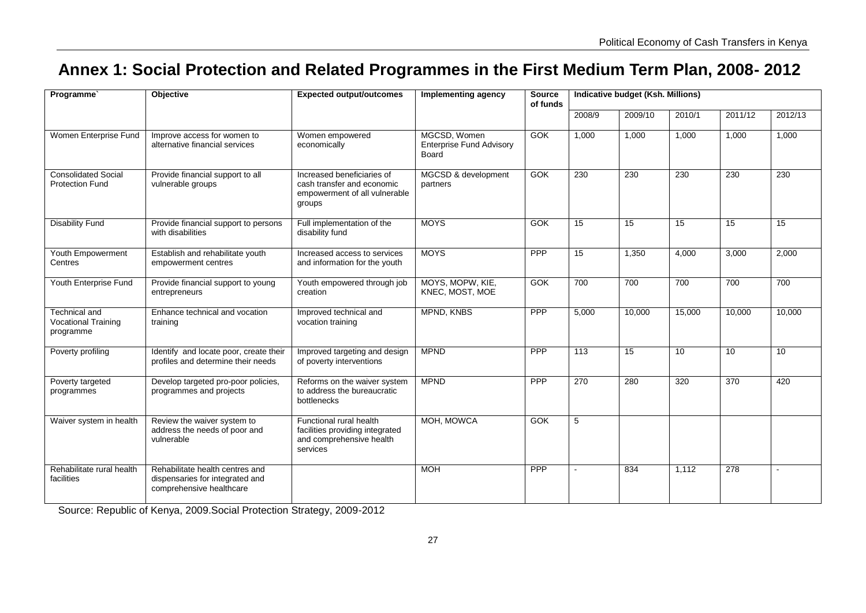# **Annex 1: Social Protection and Related Programmes in the First Medium Term Plan, 2008- 2012**

| Programme <sup>®</sup>                                   | Objective                                                                                      | <b>Expected output/outcomes</b>                                                                     | Implementing agency                                             | <b>Source</b><br>of funds | Indicative budget (Ksh. Millions) |                 |                 |         |                 |
|----------------------------------------------------------|------------------------------------------------------------------------------------------------|-----------------------------------------------------------------------------------------------------|-----------------------------------------------------------------|---------------------------|-----------------------------------|-----------------|-----------------|---------|-----------------|
|                                                          |                                                                                                |                                                                                                     |                                                                 |                           | 2008/9                            | 2009/10         | 2010/1          | 2011/12 | 2012/13         |
| Women Enterprise Fund                                    | Improve access for women to<br>alternative financial services                                  | Women empowered<br>economically                                                                     | MGCSD, Women<br><b>Enterprise Fund Advisory</b><br><b>Board</b> | GOK                       | 1.000                             | 1,000           | 1.000           | 1,000   | 1,000           |
| <b>Consolidated Social</b><br><b>Protection Fund</b>     | Provide financial support to all<br>vulnerable groups                                          | Increased beneficiaries of<br>cash transfer and economic<br>empowerment of all vulnerable<br>groups | MGCSD & development<br>partners                                 | <b>GOK</b>                | 230                               | 230             | 230             | 230     | 230             |
| <b>Disability Fund</b>                                   | Provide financial support to persons<br>with disabilities                                      | Full implementation of the<br>disability fund                                                       | <b>MOYS</b>                                                     | GOK                       | $\overline{15}$                   | $\overline{15}$ | $\overline{15}$ | 15      | $\overline{15}$ |
| Youth Empowerment<br>Centres                             | Establish and rehabilitate youth<br>empowerment centres                                        | Increased access to services<br>and information for the youth                                       | <b>MOYS</b>                                                     | <b>PPP</b>                | 15                                | 1.350           | 4.000           | 3,000   | 2,000           |
| Youth Enterprise Fund                                    | Provide financial support to young<br>entrepreneurs                                            | Youth empowered through job<br>creation                                                             | MOYS, MOPW, KIE,<br>KNEC, MOST, MOE                             | <b>GOK</b>                | 700                               | 700             | 700             | 700     | 700             |
| Technical and<br><b>Vocational Training</b><br>programme | Enhance technical and vocation<br>training                                                     | Improved technical and<br>vocation training                                                         | MPND, KNBS                                                      | PPP                       | 5,000                             | 10,000          | 15,000          | 10,000  | 10,000          |
| Poverty profiling                                        | Identify and locate poor, create their<br>profiles and determine their needs                   | Improved targeting and design<br>of poverty interventions                                           | <b>MPND</b>                                                     | <b>PPP</b>                | $\overline{113}$                  | $\overline{15}$ | 10              | 10      | $\overline{10}$ |
| Poverty targeted<br>programmes                           | Develop targeted pro-poor policies,<br>programmes and projects                                 | Reforms on the waiver system<br>to address the bureaucratic<br>bottlenecks                          | <b>MPND</b>                                                     | PPP                       | 270                               | 280             | 320             | 370     | 420             |
| Waiver system in health                                  | Review the waiver system to<br>address the needs of poor and<br>vulnerable                     | Functional rural health<br>facilities providing integrated<br>and comprehensive health<br>services  | MOH. MOWCA                                                      | GOK                       | 5                                 |                 |                 |         |                 |
| Rehabilitate rural health<br>facilities                  | Rehabilitate health centres and<br>dispensaries for integrated and<br>comprehensive healthcare |                                                                                                     | <b>MOH</b>                                                      | <b>PPP</b>                |                                   | 834             | 1,112           | 278     | $\blacksquare$  |

<span id="page-32-0"></span>Source: Republic of Kenya, 2009.Social Protection Strategy, 2009-2012